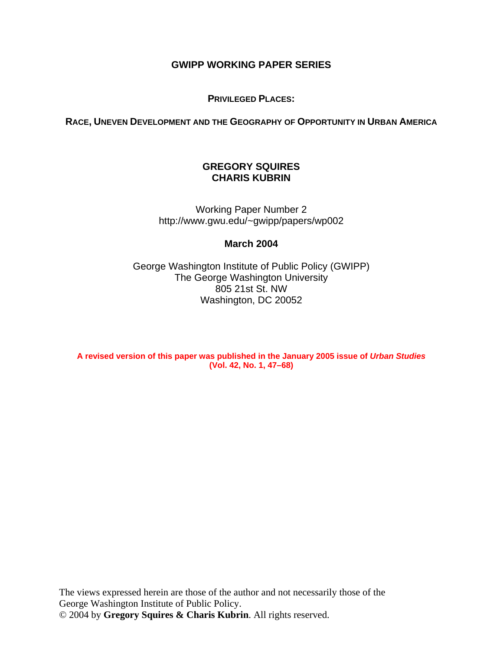## **GWIPP WORKING PAPER SERIES**

**PRIVILEGED PLACES:** 

**RACE, UNEVEN DEVELOPMENT AND THE GEOGRAPHY OF OPPORTUNITY IN URBAN AMERICA**

# **GREGORY SQUIRES CHARIS KUBRIN**

Working Paper Number 2 http://www.gwu.edu/~gwipp/papers/wp002

## **March 2004**

George Washington Institute of Public Policy (GWIPP) The George Washington University 805 21st St. NW Washington, DC 20052

**A revised version of this paper was published in the January 2005 issue of** *Urban Studies* **(Vol. 42, No. 1, 47–68)**

The views expressed herein are those of the author and not necessarily those of the George Washington Institute of Public Policy. © 2004 by **Gregory Squires & Charis Kubrin**. All rights reserved.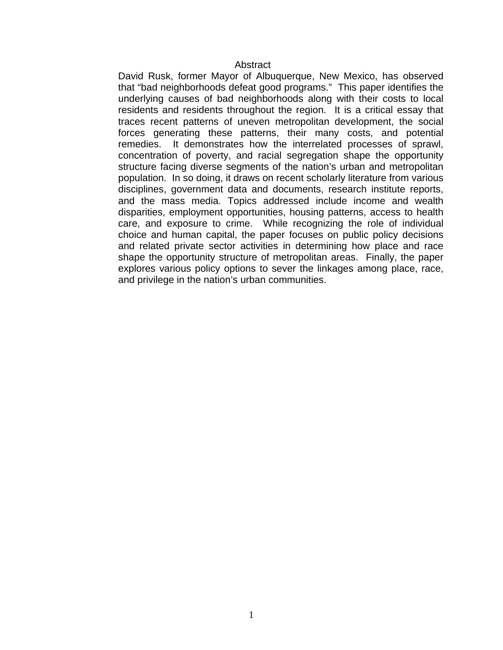#### **Abstract**

David Rusk, former Mayor of Albuquerque, New Mexico, has observed that "bad neighborhoods defeat good programs." This paper identifies the underlying causes of bad neighborhoods along with their costs to local residents and residents throughout the region. It is a critical essay that traces recent patterns of uneven metropolitan development, the social forces generating these patterns, their many costs, and potential remedies. It demonstrates how the interrelated processes of sprawl, concentration of poverty, and racial segregation shape the opportunity structure facing diverse segments of the nation's urban and metropolitan population. In so doing, it draws on recent scholarly literature from various disciplines, government data and documents, research institute reports, and the mass media. Topics addressed include income and wealth disparities, employment opportunities, housing patterns, access to health care, and exposure to crime. While recognizing the role of individual choice and human capital, the paper focuses on public policy decisions and related private sector activities in determining how place and race shape the opportunity structure of metropolitan areas. Finally, the paper explores various policy options to sever the linkages among place, race, and privilege in the nation's urban communities.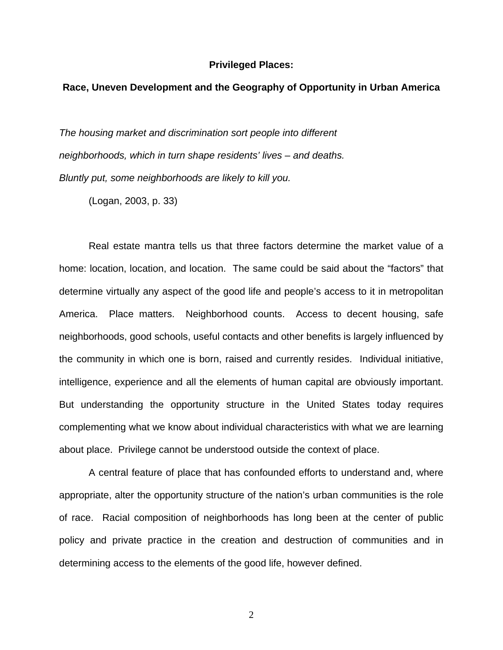#### **Privileged Places:**

## **Race, Uneven Development and the Geography of Opportunity in Urban America**

*The housing market and discrimination sort people into different neighborhoods, which in turn shape residents' lives – and deaths. Bluntly put, some neighborhoods are likely to kill you.* 

(Logan, 2003, p. 33)

 Real estate mantra tells us that three factors determine the market value of a home: location, location, and location. The same could be said about the "factors" that determine virtually any aspect of the good life and people's access to it in metropolitan America. Place matters. Neighborhood counts. Access to decent housing, safe neighborhoods, good schools, useful contacts and other benefits is largely influenced by the community in which one is born, raised and currently resides. Individual initiative, intelligence, experience and all the elements of human capital are obviously important. But understanding the opportunity structure in the United States today requires complementing what we know about individual characteristics with what we are learning about place. Privilege cannot be understood outside the context of place.

 A central feature of place that has confounded efforts to understand and, where appropriate, alter the opportunity structure of the nation's urban communities is the role of race. Racial composition of neighborhoods has long been at the center of public policy and private practice in the creation and destruction of communities and in determining access to the elements of the good life, however defined.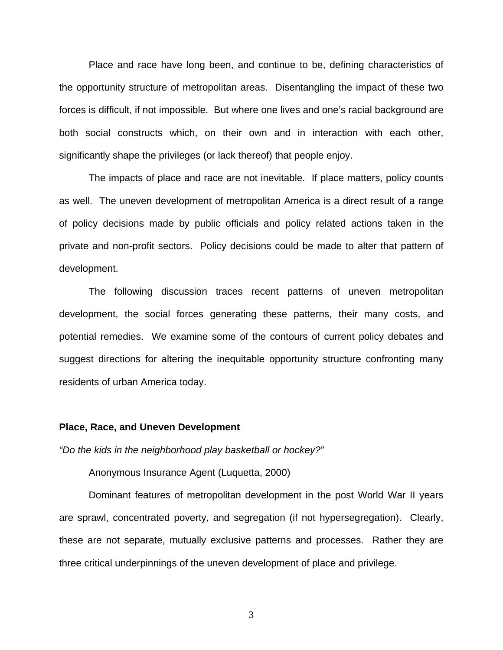Place and race have long been, and continue to be, defining characteristics of the opportunity structure of metropolitan areas. Disentangling the impact of these two forces is difficult, if not impossible. But where one lives and one's racial background are both social constructs which, on their own and in interaction with each other, significantly shape the privileges (or lack thereof) that people enjoy.

 The impacts of place and race are not inevitable. If place matters, policy counts as well. The uneven development of metropolitan America is a direct result of a range of policy decisions made by public officials and policy related actions taken in the private and non-profit sectors. Policy decisions could be made to alter that pattern of development.

 The following discussion traces recent patterns of uneven metropolitan development, the social forces generating these patterns, their many costs, and potential remedies. We examine some of the contours of current policy debates and suggest directions for altering the inequitable opportunity structure confronting many residents of urban America today.

#### **Place, Race, and Uneven Development**

*"Do the kids in the neighborhood play basketball or hockey?"*

Anonymous Insurance Agent (Luquetta, 2000)

 Dominant features of metropolitan development in the post World War II years are sprawl, concentrated poverty, and segregation (if not hypersegregation). Clearly, these are not separate, mutually exclusive patterns and processes. Rather they are three critical underpinnings of the uneven development of place and privilege.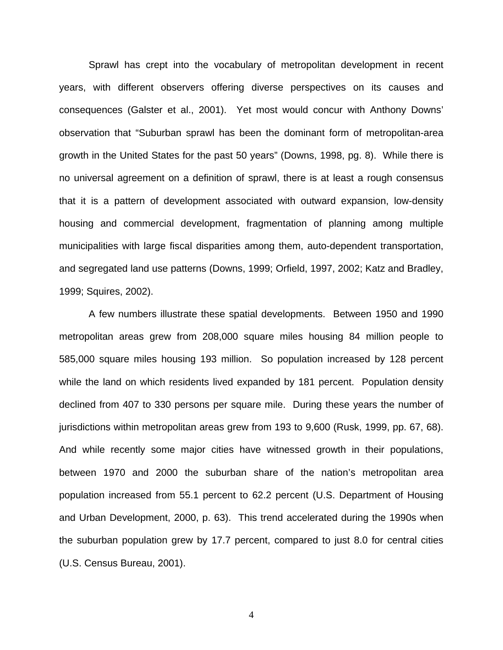Sprawl has crept into the vocabulary of metropolitan development in recent years, with different observers offering diverse perspectives on its causes and consequences (Galster et al., 2001). Yet most would concur with Anthony Downs' observation that "Suburban sprawl has been the dominant form of metropolitan-area growth in the United States for the past 50 years" (Downs, 1998, pg. 8). While there is no universal agreement on a definition of sprawl, there is at least a rough consensus that it is a pattern of development associated with outward expansion, low-density housing and commercial development, fragmentation of planning among multiple municipalities with large fiscal disparities among them, auto-dependent transportation, and segregated land use patterns (Downs, 1999; Orfield, 1997, 2002; Katz and Bradley, 1999; Squires, 2002).

A few numbers illustrate these spatial developments. Between 1950 and 1990 metropolitan areas grew from 208,000 square miles housing 84 million people to 585,000 square miles housing 193 million. So population increased by 128 percent while the land on which residents lived expanded by 181 percent. Population density declined from 407 to 330 persons per square mile. During these years the number of jurisdictions within metropolitan areas grew from 193 to 9,600 (Rusk, 1999, pp. 67, 68). And while recently some major cities have witnessed growth in their populations, between 1970 and 2000 the suburban share of the nation's metropolitan area population increased from 55.1 percent to 62.2 percent (U.S. Department of Housing and Urban Development, 2000, p. 63). This trend accelerated during the 1990s when the suburban population grew by 17.7 percent, compared to just 8.0 for central cities (U.S. Census Bureau, 2001).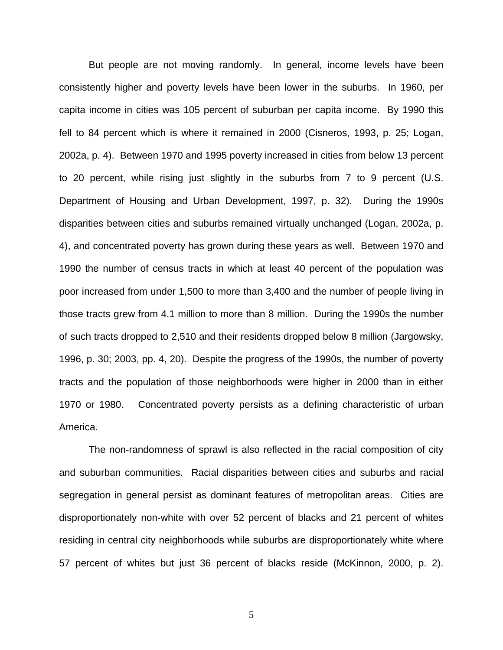But people are not moving randomly. In general, income levels have been consistently higher and poverty levels have been lower in the suburbs. In 1960, per capita income in cities was 105 percent of suburban per capita income. By 1990 this fell to 84 percent which is where it remained in 2000 (Cisneros, 1993, p. 25; Logan, 2002a, p. 4). Between 1970 and 1995 poverty increased in cities from below 13 percent to 20 percent, while rising just slightly in the suburbs from 7 to 9 percent (U.S. Department of Housing and Urban Development, 1997, p. 32). During the 1990s disparities between cities and suburbs remained virtually unchanged (Logan, 2002a, p. 4), and concentrated poverty has grown during these years as well. Between 1970 and 1990 the number of census tracts in which at least 40 percent of the population was poor increased from under 1,500 to more than 3,400 and the number of people living in those tracts grew from 4.1 million to more than 8 million. During the 1990s the number of such tracts dropped to 2,510 and their residents dropped below 8 million (Jargowsky, 1996, p. 30; 2003, pp. 4, 20). Despite the progress of the 1990s, the number of poverty tracts and the population of those neighborhoods were higher in 2000 than in either 1970 or 1980. Concentrated poverty persists as a defining characteristic of urban America.

 The non-randomness of sprawl is also reflected in the racial composition of city and suburban communities. Racial disparities between cities and suburbs and racial segregation in general persist as dominant features of metropolitan areas. Cities are disproportionately non-white with over 52 percent of blacks and 21 percent of whites residing in central city neighborhoods while suburbs are disproportionately white where 57 percent of whites but just 36 percent of blacks reside (McKinnon, 2000, p. 2).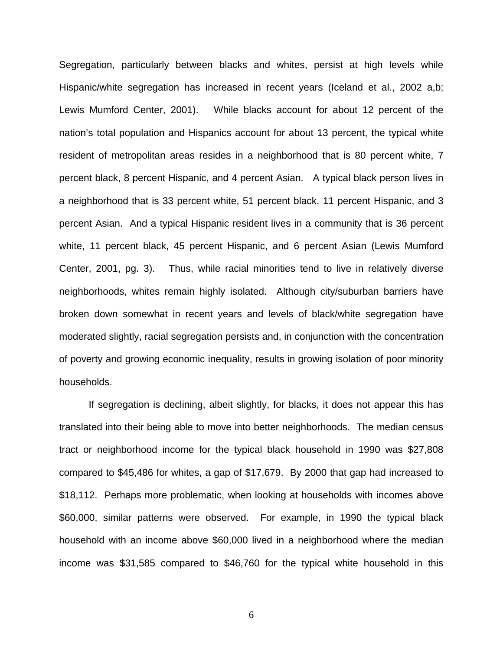Segregation, particularly between blacks and whites, persist at high levels while Hispanic/white segregation has increased in recent years (Iceland et al., 2002 a,b; Lewis Mumford Center, 2001). While blacks account for about 12 percent of the nation's total population and Hispanics account for about 13 percent, the typical white resident of metropolitan areas resides in a neighborhood that is 80 percent white, 7 percent black, 8 percent Hispanic, and 4 percent Asian. A typical black person lives in a neighborhood that is 33 percent white, 51 percent black, 11 percent Hispanic, and 3 percent Asian. And a typical Hispanic resident lives in a community that is 36 percent white, 11 percent black, 45 percent Hispanic, and 6 percent Asian (Lewis Mumford Center, 2001, pg. 3). Thus, while racial minorities tend to live in relatively diverse neighborhoods, whites remain highly isolated. Although city/suburban barriers have broken down somewhat in recent years and levels of black/white segregation have moderated slightly, racial segregation persists and, in conjunction with the concentration of poverty and growing economic inequality, results in growing isolation of poor minority households.

 If segregation is declining, albeit slightly, for blacks, it does not appear this has translated into their being able to move into better neighborhoods. The median census tract or neighborhood income for the typical black household in 1990 was \$27,808 compared to \$45,486 for whites, a gap of \$17,679. By 2000 that gap had increased to \$18,112. Perhaps more problematic, when looking at households with incomes above \$60,000, similar patterns were observed. For example, in 1990 the typical black household with an income above \$60,000 lived in a neighborhood where the median income was \$31,585 compared to \$46,760 for the typical white household in this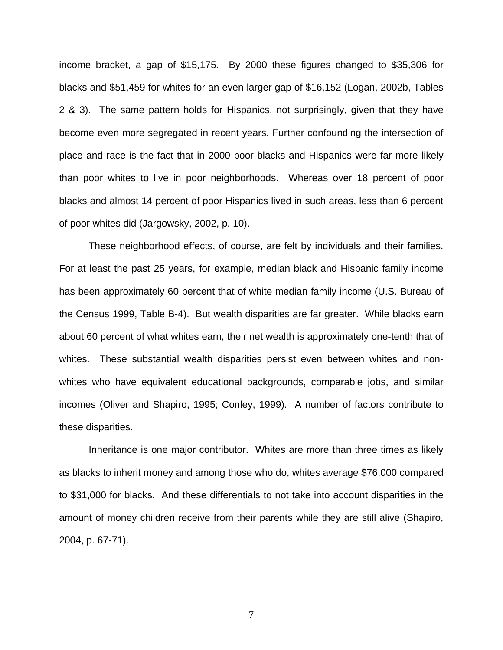income bracket, a gap of \$15,175. By 2000 these figures changed to \$35,306 for blacks and \$51,459 for whites for an even larger gap of \$16,152 (Logan, 2002b, Tables 2 & 3). The same pattern holds for Hispanics, not surprisingly, given that they have become even more segregated in recent years. Further confounding the intersection of place and race is the fact that in 2000 poor blacks and Hispanics were far more likely than poor whites to live in poor neighborhoods. Whereas over 18 percent of poor blacks and almost 14 percent of poor Hispanics lived in such areas, less than 6 percent of poor whites did (Jargowsky, 2002, p. 10).

These neighborhood effects, of course, are felt by individuals and their families. For at least the past 25 years, for example, median black and Hispanic family income has been approximately 60 percent that of white median family income (U.S. Bureau of the Census 1999, Table B-4). But wealth disparities are far greater. While blacks earn about 60 percent of what whites earn, their net wealth is approximately one-tenth that of whites. These substantial wealth disparities persist even between whites and nonwhites who have equivalent educational backgrounds, comparable jobs, and similar incomes (Oliver and Shapiro, 1995; Conley, 1999). A number of factors contribute to these disparities.

Inheritance is one major contributor. Whites are more than three times as likely as blacks to inherit money and among those who do, whites average \$76,000 compared to \$31,000 for blacks. And these differentials to not take into account disparities in the amount of money children receive from their parents while they are still alive (Shapiro, 2004, p. 67-71).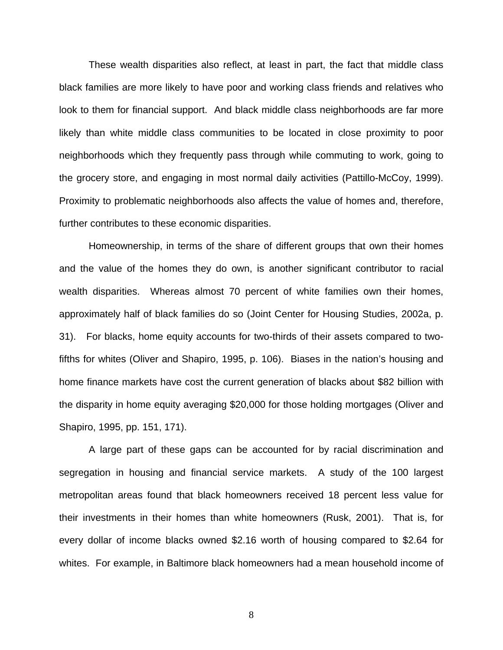These wealth disparities also reflect, at least in part, the fact that middle class black families are more likely to have poor and working class friends and relatives who look to them for financial support. And black middle class neighborhoods are far more likely than white middle class communities to be located in close proximity to poor neighborhoods which they frequently pass through while commuting to work, going to the grocery store, and engaging in most normal daily activities (Pattillo-McCoy, 1999). Proximity to problematic neighborhoods also affects the value of homes and, therefore, further contributes to these economic disparities.

Homeownership, in terms of the share of different groups that own their homes and the value of the homes they do own, is another significant contributor to racial wealth disparities. Whereas almost 70 percent of white families own their homes, approximately half of black families do so (Joint Center for Housing Studies, 2002a, p. 31). For blacks, home equity accounts for two-thirds of their assets compared to twofifths for whites (Oliver and Shapiro, 1995, p. 106). Biases in the nation's housing and home finance markets have cost the current generation of blacks about \$82 billion with the disparity in home equity averaging \$20,000 for those holding mortgages (Oliver and Shapiro, 1995, pp. 151, 171).

A large part of these gaps can be accounted for by racial discrimination and segregation in housing and financial service markets. A study of the 100 largest metropolitan areas found that black homeowners received 18 percent less value for their investments in their homes than white homeowners (Rusk, 2001). That is, for every dollar of income blacks owned \$2.16 worth of housing compared to \$2.64 for whites. For example, in Baltimore black homeowners had a mean household income of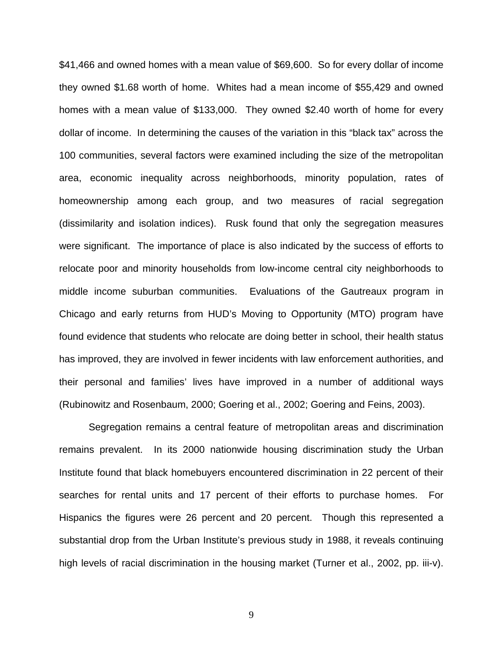\$41,466 and owned homes with a mean value of \$69,600. So for every dollar of income they owned \$1.68 worth of home. Whites had a mean income of \$55,429 and owned homes with a mean value of \$133,000. They owned \$2.40 worth of home for every dollar of income. In determining the causes of the variation in this "black tax" across the 100 communities, several factors were examined including the size of the metropolitan area, economic inequality across neighborhoods, minority population, rates of homeownership among each group, and two measures of racial segregation (dissimilarity and isolation indices). Rusk found that only the segregation measures were significant. The importance of place is also indicated by the success of efforts to relocate poor and minority households from low-income central city neighborhoods to middle income suburban communities. Evaluations of the Gautreaux program in Chicago and early returns from HUD's Moving to Opportunity (MTO) program have found evidence that students who relocate are doing better in school, their health status has improved, they are involved in fewer incidents with law enforcement authorities, and their personal and families' lives have improved in a number of additional ways (Rubinowitz and Rosenbaum, 2000; Goering et al., 2002; Goering and Feins, 2003).

 Segregation remains a central feature of metropolitan areas and discrimination remains prevalent. In its 2000 nationwide housing discrimination study the Urban Institute found that black homebuyers encountered discrimination in 22 percent of their searches for rental units and 17 percent of their efforts to purchase homes. For Hispanics the figures were 26 percent and 20 percent. Though this represented a substantial drop from the Urban Institute's previous study in 1988, it reveals continuing high levels of racial discrimination in the housing market (Turner et al., 2002, pp. iii-v).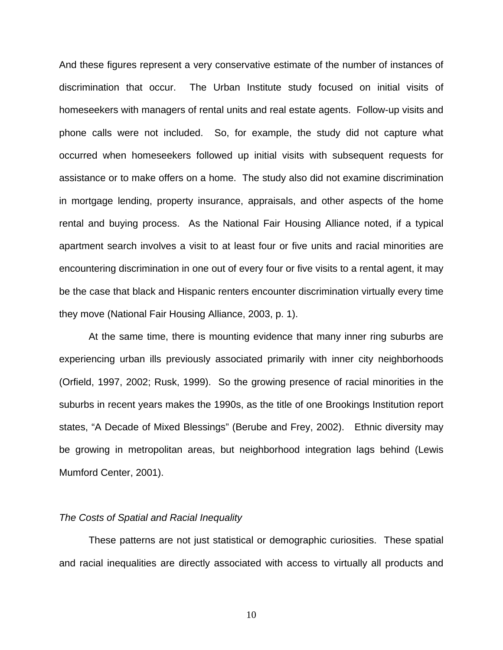And these figures represent a very conservative estimate of the number of instances of discrimination that occur. The Urban Institute study focused on initial visits of homeseekers with managers of rental units and real estate agents. Follow-up visits and phone calls were not included. So, for example, the study did not capture what occurred when homeseekers followed up initial visits with subsequent requests for assistance or to make offers on a home. The study also did not examine discrimination in mortgage lending, property insurance, appraisals, and other aspects of the home rental and buying process. As the National Fair Housing Alliance noted, if a typical apartment search involves a visit to at least four or five units and racial minorities are encountering discrimination in one out of every four or five visits to a rental agent, it may be the case that black and Hispanic renters encounter discrimination virtually every time they move (National Fair Housing Alliance, 2003, p. 1).

 At the same time, there is mounting evidence that many inner ring suburbs are experiencing urban ills previously associated primarily with inner city neighborhoods (Orfield, 1997, 2002; Rusk, 1999). So the growing presence of racial minorities in the suburbs in recent years makes the 1990s, as the title of one Brookings Institution report states, "A Decade of Mixed Blessings" (Berube and Frey, 2002). Ethnic diversity may be growing in metropolitan areas, but neighborhood integration lags behind (Lewis Mumford Center, 2001).

## *The Costs of Spatial and Racial Inequality*

 These patterns are not just statistical or demographic curiosities. These spatial and racial inequalities are directly associated with access to virtually all products and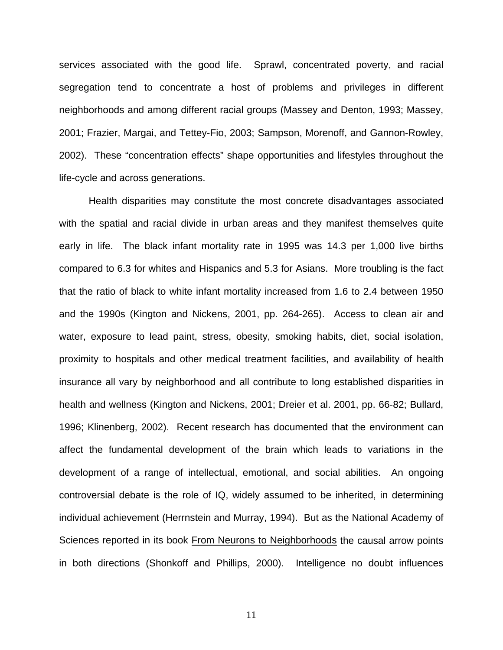services associated with the good life. Sprawl, concentrated poverty, and racial segregation tend to concentrate a host of problems and privileges in different neighborhoods and among different racial groups (Massey and Denton, 1993; Massey, 2001; Frazier, Margai, and Tettey-Fio, 2003; Sampson, Morenoff, and Gannon-Rowley, 2002). These "concentration effects" shape opportunities and lifestyles throughout the life-cycle and across generations.

Health disparities may constitute the most concrete disadvantages associated with the spatial and racial divide in urban areas and they manifest themselves quite early in life. The black infant mortality rate in 1995 was 14.3 per 1,000 live births compared to 6.3 for whites and Hispanics and 5.3 for Asians. More troubling is the fact that the ratio of black to white infant mortality increased from 1.6 to 2.4 between 1950 and the 1990s (Kington and Nickens, 2001, pp. 264-265). Access to clean air and water, exposure to lead paint, stress, obesity, smoking habits, diet, social isolation, proximity to hospitals and other medical treatment facilities, and availability of health insurance all vary by neighborhood and all contribute to long established disparities in health and wellness (Kington and Nickens, 2001; Dreier et al. 2001, pp. 66-82; Bullard, 1996; Klinenberg, 2002). Recent research has documented that the environment can affect the fundamental development of the brain which leads to variations in the development of a range of intellectual, emotional, and social abilities. An ongoing controversial debate is the role of IQ, widely assumed to be inherited, in determining individual achievement (Herrnstein and Murray, 1994). But as the National Academy of Sciences reported in its book From Neurons to Neighborhoods the causal arrow points in both directions (Shonkoff and Phillips, 2000). Intelligence no doubt influences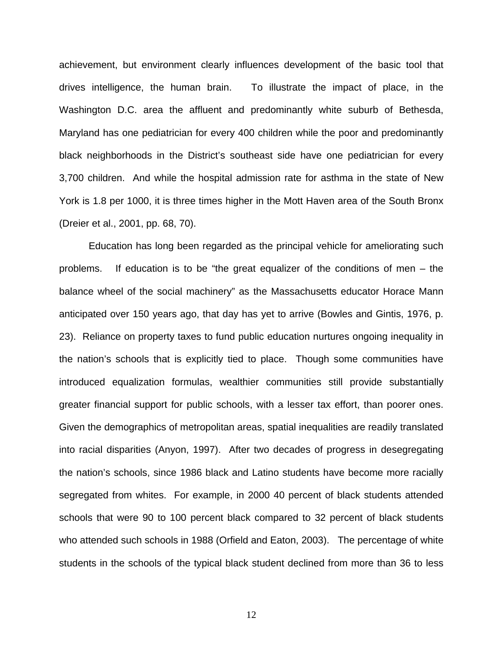achievement, but environment clearly influences development of the basic tool that drives intelligence, the human brain. To illustrate the impact of place, in the Washington D.C. area the affluent and predominantly white suburb of Bethesda, Maryland has one pediatrician for every 400 children while the poor and predominantly black neighborhoods in the District's southeast side have one pediatrician for every 3,700 children. And while the hospital admission rate for asthma in the state of New York is 1.8 per 1000, it is three times higher in the Mott Haven area of the South Bronx (Dreier et al., 2001, pp. 68, 70).

 Education has long been regarded as the principal vehicle for ameliorating such problems. If education is to be "the great equalizer of the conditions of men – the balance wheel of the social machinery" as the Massachusetts educator Horace Mann anticipated over 150 years ago, that day has yet to arrive (Bowles and Gintis, 1976, p. 23). Reliance on property taxes to fund public education nurtures ongoing inequality in the nation's schools that is explicitly tied to place. Though some communities have introduced equalization formulas, wealthier communities still provide substantially greater financial support for public schools, with a lesser tax effort, than poorer ones. Given the demographics of metropolitan areas, spatial inequalities are readily translated into racial disparities (Anyon, 1997). After two decades of progress in desegregating the nation's schools, since 1986 black and Latino students have become more racially segregated from whites. For example, in 2000 40 percent of black students attended schools that were 90 to 100 percent black compared to 32 percent of black students who attended such schools in 1988 (Orfield and Eaton, 2003). The percentage of white students in the schools of the typical black student declined from more than 36 to less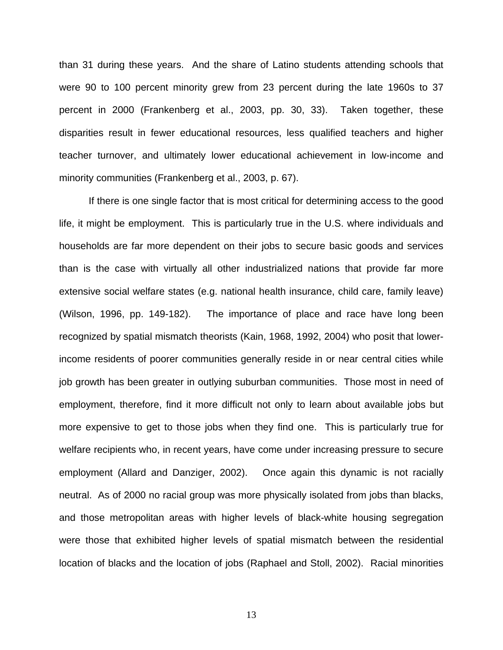than 31 during these years. And the share of Latino students attending schools that were 90 to 100 percent minority grew from 23 percent during the late 1960s to 37 percent in 2000 (Frankenberg et al., 2003, pp. 30, 33). Taken together, these disparities result in fewer educational resources, less qualified teachers and higher teacher turnover, and ultimately lower educational achievement in low-income and minority communities (Frankenberg et al., 2003, p. 67).

 If there is one single factor that is most critical for determining access to the good life, it might be employment. This is particularly true in the U.S. where individuals and households are far more dependent on their jobs to secure basic goods and services than is the case with virtually all other industrialized nations that provide far more extensive social welfare states (e.g. national health insurance, child care, family leave) (Wilson, 1996, pp. 149-182). The importance of place and race have long been recognized by spatial mismatch theorists (Kain, 1968, 1992, 2004) who posit that lowerincome residents of poorer communities generally reside in or near central cities while job growth has been greater in outlying suburban communities. Those most in need of employment, therefore, find it more difficult not only to learn about available jobs but more expensive to get to those jobs when they find one. This is particularly true for welfare recipients who, in recent years, have come under increasing pressure to secure employment (Allard and Danziger, 2002). Once again this dynamic is not racially neutral. As of 2000 no racial group was more physically isolated from jobs than blacks, and those metropolitan areas with higher levels of black-white housing segregation were those that exhibited higher levels of spatial mismatch between the residential location of blacks and the location of jobs (Raphael and Stoll, 2002). Racial minorities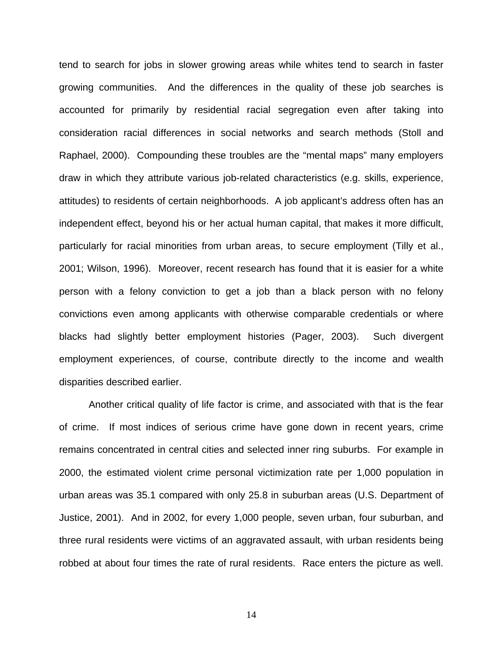tend to search for jobs in slower growing areas while whites tend to search in faster growing communities. And the differences in the quality of these job searches is accounted for primarily by residential racial segregation even after taking into consideration racial differences in social networks and search methods (Stoll and Raphael, 2000). Compounding these troubles are the "mental maps" many employers draw in which they attribute various job-related characteristics (e.g. skills, experience, attitudes) to residents of certain neighborhoods. A job applicant's address often has an independent effect, beyond his or her actual human capital, that makes it more difficult, particularly for racial minorities from urban areas, to secure employment (Tilly et al., 2001; Wilson, 1996). Moreover, recent research has found that it is easier for a white person with a felony conviction to get a job than a black person with no felony convictions even among applicants with otherwise comparable credentials or where blacks had slightly better employment histories (Pager, 2003). Such divergent employment experiences, of course, contribute directly to the income and wealth disparities described earlier.

Another critical quality of life factor is crime, and associated with that is the fear of crime. If most indices of serious crime have gone down in recent years, crime remains concentrated in central cities and selected inner ring suburbs. For example in 2000, the estimated violent crime personal victimization rate per 1,000 population in urban areas was 35.1 compared with only 25.8 in suburban areas (U.S. Department of Justice, 2001). And in 2002, for every 1,000 people, seven urban, four suburban, and three rural residents were victims of an aggravated assault, with urban residents being robbed at about four times the rate of rural residents. Race enters the picture as well.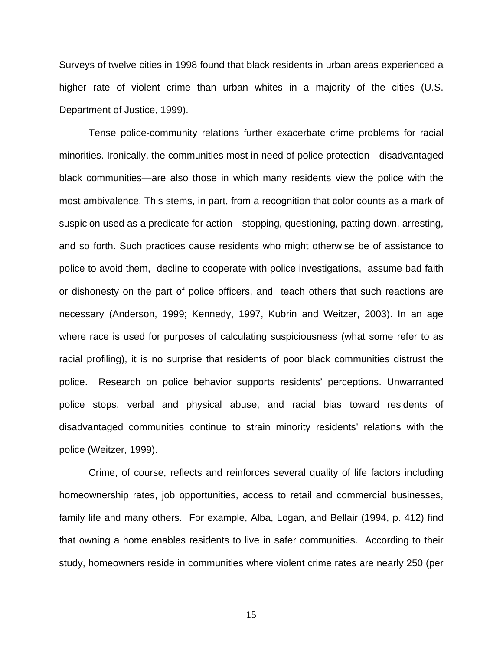Surveys of twelve cities in 1998 found that black residents in urban areas experienced a higher rate of violent crime than urban whites in a majority of the cities (U.S. Department of Justice, 1999).

Tense police-community relations further exacerbate crime problems for racial minorities. Ironically, the communities most in need of police protection—disadvantaged black communities—are also those in which many residents view the police with the most ambivalence. This stems, in part, from a recognition that color counts as a mark of suspicion used as a predicate for action—stopping, questioning, patting down, arresting, and so forth. Such practices cause residents who might otherwise be of assistance to police to avoid them, decline to cooperate with police investigations, assume bad faith or dishonesty on the part of police officers, and teach others that such reactions are necessary (Anderson, 1999; Kennedy, 1997, Kubrin and Weitzer, 2003). In an age where race is used for purposes of calculating suspiciousness (what some refer to as racial profiling), it is no surprise that residents of poor black communities distrust the police. Research on police behavior supports residents' perceptions. Unwarranted police stops, verbal and physical abuse, and racial bias toward residents of disadvantaged communities continue to strain minority residents' relations with the police (Weitzer, 1999).

Crime, of course, reflects and reinforces several quality of life factors including homeownership rates, job opportunities, access to retail and commercial businesses, family life and many others. For example, Alba, Logan, and Bellair (1994, p. 412) find that owning a home enables residents to live in safer communities. According to their study, homeowners reside in communities where violent crime rates are nearly 250 (per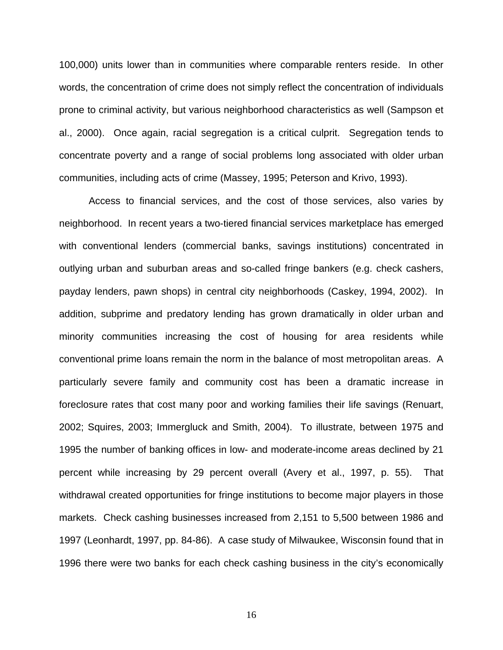100,000) units lower than in communities where comparable renters reside. In other words, the concentration of crime does not simply reflect the concentration of individuals prone to criminal activity, but various neighborhood characteristics as well (Sampson et al., 2000). Once again, racial segregation is a critical culprit. Segregation tends to concentrate poverty and a range of social problems long associated with older urban communities, including acts of crime (Massey, 1995; Peterson and Krivo, 1993).

Access to financial services, and the cost of those services, also varies by neighborhood. In recent years a two-tiered financial services marketplace has emerged with conventional lenders (commercial banks, savings institutions) concentrated in outlying urban and suburban areas and so-called fringe bankers (e.g. check cashers, payday lenders, pawn shops) in central city neighborhoods (Caskey, 1994, 2002). In addition, subprime and predatory lending has grown dramatically in older urban and minority communities increasing the cost of housing for area residents while conventional prime loans remain the norm in the balance of most metropolitan areas. A particularly severe family and community cost has been a dramatic increase in foreclosure rates that cost many poor and working families their life savings (Renuart, 2002; Squires, 2003; Immergluck and Smith, 2004). To illustrate, between 1975 and 1995 the number of banking offices in low- and moderate-income areas declined by 21 percent while increasing by 29 percent overall (Avery et al., 1997, p. 55). That withdrawal created opportunities for fringe institutions to become major players in those markets. Check cashing businesses increased from 2,151 to 5,500 between 1986 and 1997 (Leonhardt, 1997, pp. 84-86). A case study of Milwaukee, Wisconsin found that in 1996 there were two banks for each check cashing business in the city's economically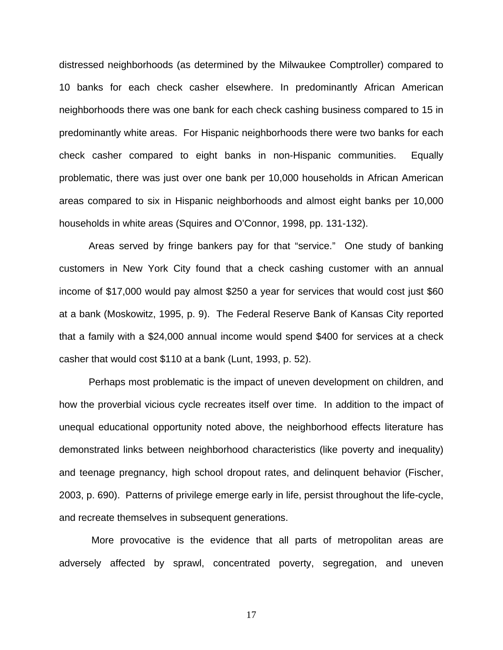distressed neighborhoods (as determined by the Milwaukee Comptroller) compared to 10 banks for each check casher elsewhere. In predominantly African American neighborhoods there was one bank for each check cashing business compared to 15 in predominantly white areas. For Hispanic neighborhoods there were two banks for each check casher compared to eight banks in non-Hispanic communities. Equally problematic, there was just over one bank per 10,000 households in African American areas compared to six in Hispanic neighborhoods and almost eight banks per 10,000 households in white areas (Squires and O'Connor, 1998, pp. 131-132).

Areas served by fringe bankers pay for that "service." One study of banking customers in New York City found that a check cashing customer with an annual income of \$17,000 would pay almost \$250 a year for services that would cost just \$60 at a bank (Moskowitz, 1995, p. 9). The Federal Reserve Bank of Kansas City reported that a family with a \$24,000 annual income would spend \$400 for services at a check casher that would cost \$110 at a bank (Lunt, 1993, p. 52).

Perhaps most problematic is the impact of uneven development on children, and how the proverbial vicious cycle recreates itself over time. In addition to the impact of unequal educational opportunity noted above, the neighborhood effects literature has demonstrated links between neighborhood characteristics (like poverty and inequality) and teenage pregnancy, high school dropout rates, and delinquent behavior (Fischer, 2003, p. 690). Patterns of privilege emerge early in life, persist throughout the life-cycle, and recreate themselves in subsequent generations.

 More provocative is the evidence that all parts of metropolitan areas are adversely affected by sprawl, concentrated poverty, segregation, and uneven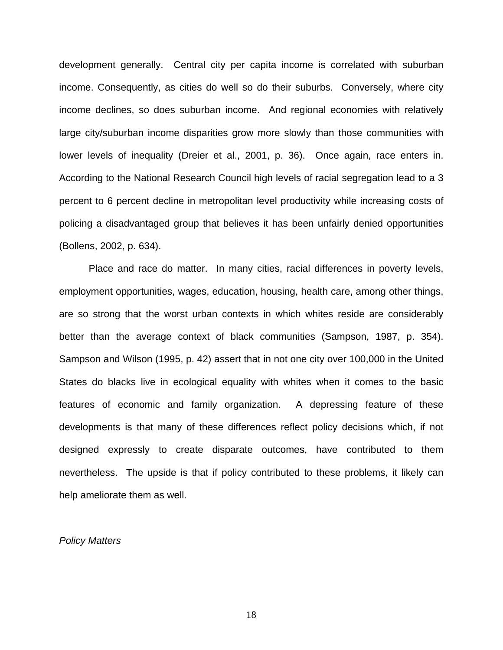development generally. Central city per capita income is correlated with suburban income. Consequently, as cities do well so do their suburbs. Conversely, where city income declines, so does suburban income. And regional economies with relatively large city/suburban income disparities grow more slowly than those communities with lower levels of inequality (Dreier et al., 2001, p. 36). Once again, race enters in. According to the National Research Council high levels of racial segregation lead to a 3 percent to 6 percent decline in metropolitan level productivity while increasing costs of policing a disadvantaged group that believes it has been unfairly denied opportunities (Bollens, 2002, p. 634).

Place and race do matter. In many cities, racial differences in poverty levels, employment opportunities, wages, education, housing, health care, among other things, are so strong that the worst urban contexts in which whites reside are considerably better than the average context of black communities (Sampson, 1987, p. 354). Sampson and Wilson (1995, p. 42) assert that in not one city over 100,000 in the United States do blacks live in ecological equality with whites when it comes to the basic features of economic and family organization. A depressing feature of these developments is that many of these differences reflect policy decisions which, if not designed expressly to create disparate outcomes, have contributed to them nevertheless. The upside is that if policy contributed to these problems, it likely can help ameliorate them as well.

#### *Policy Matters*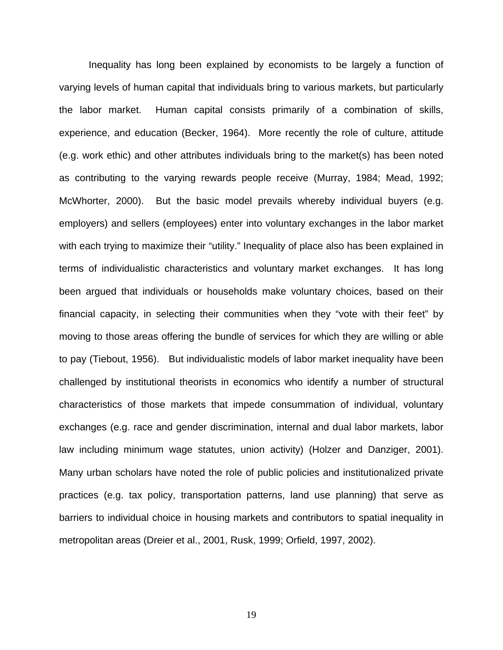Inequality has long been explained by economists to be largely a function of varying levels of human capital that individuals bring to various markets, but particularly the labor market. Human capital consists primarily of a combination of skills, experience, and education (Becker, 1964). More recently the role of culture, attitude (e.g. work ethic) and other attributes individuals bring to the market(s) has been noted as contributing to the varying rewards people receive (Murray, 1984; Mead, 1992; McWhorter, 2000). But the basic model prevails whereby individual buyers (e.g. employers) and sellers (employees) enter into voluntary exchanges in the labor market with each trying to maximize their "utility." Inequality of place also has been explained in terms of individualistic characteristics and voluntary market exchanges. It has long been argued that individuals or households make voluntary choices, based on their financial capacity, in selecting their communities when they "vote with their feet" by moving to those areas offering the bundle of services for which they are willing or able to pay (Tiebout, 1956). But individualistic models of labor market inequality have been challenged by institutional theorists in economics who identify a number of structural characteristics of those markets that impede consummation of individual, voluntary exchanges (e.g. race and gender discrimination, internal and dual labor markets, labor law including minimum wage statutes, union activity) (Holzer and Danziger, 2001). Many urban scholars have noted the role of public policies and institutionalized private practices (e.g. tax policy, transportation patterns, land use planning) that serve as barriers to individual choice in housing markets and contributors to spatial inequality in metropolitan areas (Dreier et al., 2001, Rusk, 1999; Orfield, 1997, 2002).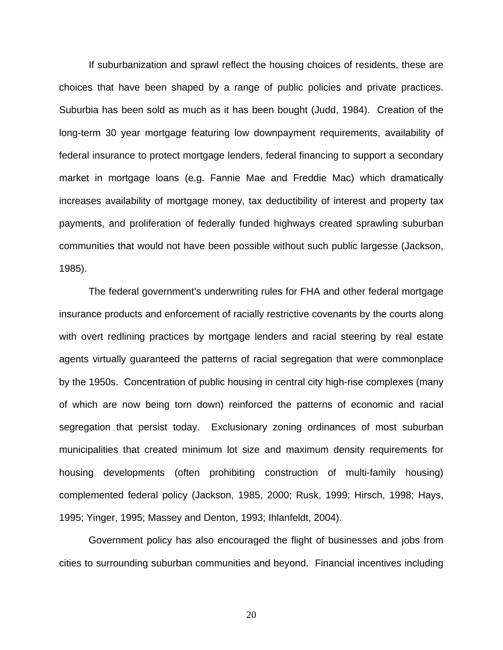If suburbanization and sprawl reflect the housing choices of residents, these are choices that have been shaped by a range of public policies and private practices. Suburbia has been sold as much as it has been bought (Judd, 1984). Creation of the long-term 30 year mortgage featuring low downpayment requirements, availability of federal insurance to protect mortgage lenders, federal financing to support a secondary market in mortgage loans (e.g. Fannie Mae and Freddie Mac) which dramatically increases availability of mortgage money, tax deductibility of interest and property tax payments, and proliferation of federally funded highways created sprawling suburban communities that would not have been possible without such public largesse (Jackson, 1985).

 The federal government's underwriting rules for FHA and other federal mortgage insurance products and enforcement of racially restrictive covenants by the courts along with overt redlining practices by mortgage lenders and racial steering by real estate agents virtually guaranteed the patterns of racial segregation that were commonplace by the 1950s. Concentration of public housing in central city high-rise complexes (many of which are now being torn down) reinforced the patterns of economic and racial segregation that persist today. Exclusionary zoning ordinances of most suburban municipalities that created minimum lot size and maximum density requirements for housing developments (often prohibiting construction of multi-family housing) complemented federal policy (Jackson, 1985, 2000; Rusk, 1999; Hirsch, 1998; Hays, 1995; Yinger, 1995; Massey and Denton, 1993; Ihlanfeldt, 2004).

 Government policy has also encouraged the flight of businesses and jobs from cities to surrounding suburban communities and beyond. Financial incentives including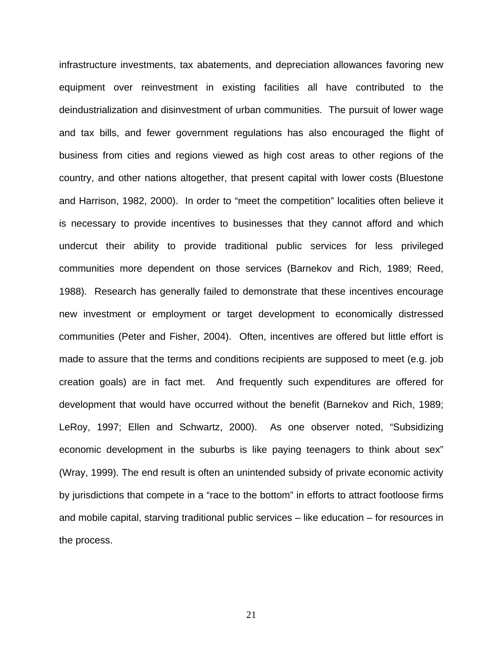infrastructure investments, tax abatements, and depreciation allowances favoring new equipment over reinvestment in existing facilities all have contributed to the deindustrialization and disinvestment of urban communities. The pursuit of lower wage and tax bills, and fewer government regulations has also encouraged the flight of business from cities and regions viewed as high cost areas to other regions of the country, and other nations altogether, that present capital with lower costs (Bluestone and Harrison, 1982, 2000). In order to "meet the competition" localities often believe it is necessary to provide incentives to businesses that they cannot afford and which undercut their ability to provide traditional public services for less privileged communities more dependent on those services (Barnekov and Rich, 1989; Reed, 1988). Research has generally failed to demonstrate that these incentives encourage new investment or employment or target development to economically distressed communities (Peter and Fisher, 2004). Often, incentives are offered but little effort is made to assure that the terms and conditions recipients are supposed to meet (e.g. job creation goals) are in fact met. And frequently such expenditures are offered for development that would have occurred without the benefit (Barnekov and Rich, 1989; LeRoy, 1997; Ellen and Schwartz, 2000). As one observer noted, "Subsidizing economic development in the suburbs is like paying teenagers to think about sex" (Wray, 1999). The end result is often an unintended subsidy of private economic activity by jurisdictions that compete in a "race to the bottom" in efforts to attract footloose firms and mobile capital, starving traditional public services – like education – for resources in the process.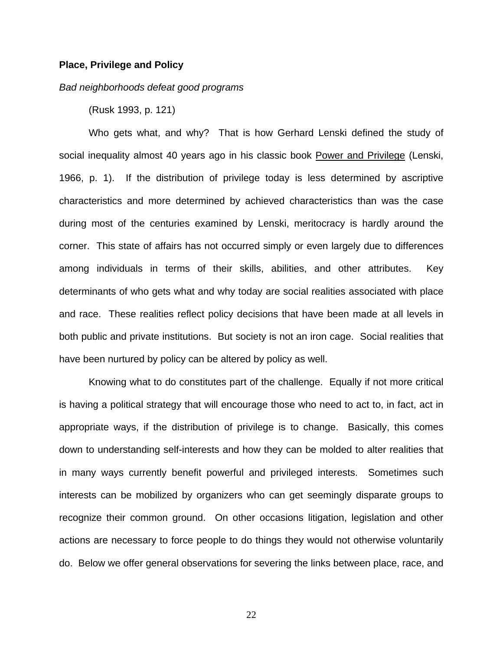#### **Place, Privilege and Policy**

## *Bad neighborhoods defeat good programs*

(Rusk 1993, p. 121)

Who gets what, and why? That is how Gerhard Lenski defined the study of social inequality almost 40 years ago in his classic book Power and Privilege (Lenski, 1966, p. 1). If the distribution of privilege today is less determined by ascriptive characteristics and more determined by achieved characteristics than was the case during most of the centuries examined by Lenski, meritocracy is hardly around the corner. This state of affairs has not occurred simply or even largely due to differences among individuals in terms of their skills, abilities, and other attributes. Key determinants of who gets what and why today are social realities associated with place and race. These realities reflect policy decisions that have been made at all levels in both public and private institutions. But society is not an iron cage. Social realities that have been nurtured by policy can be altered by policy as well.

 Knowing what to do constitutes part of the challenge. Equally if not more critical is having a political strategy that will encourage those who need to act to, in fact, act in appropriate ways, if the distribution of privilege is to change. Basically, this comes down to understanding self-interests and how they can be molded to alter realities that in many ways currently benefit powerful and privileged interests. Sometimes such interests can be mobilized by organizers who can get seemingly disparate groups to recognize their common ground. On other occasions litigation, legislation and other actions are necessary to force people to do things they would not otherwise voluntarily do. Below we offer general observations for severing the links between place, race, and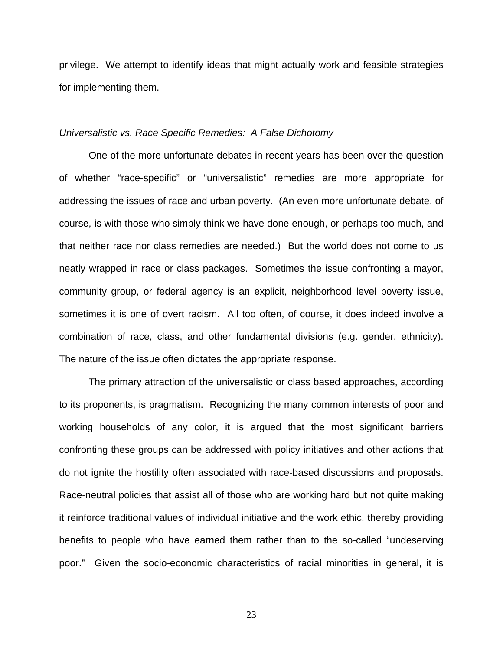privilege. We attempt to identify ideas that might actually work and feasible strategies for implementing them.

#### *Universalistic vs. Race Specific Remedies: A False Dichotomy*

 One of the more unfortunate debates in recent years has been over the question of whether "race-specific" or "universalistic" remedies are more appropriate for addressing the issues of race and urban poverty. (An even more unfortunate debate, of course, is with those who simply think we have done enough, or perhaps too much, and that neither race nor class remedies are needed.) But the world does not come to us neatly wrapped in race or class packages. Sometimes the issue confronting a mayor, community group, or federal agency is an explicit, neighborhood level poverty issue, sometimes it is one of overt racism. All too often, of course, it does indeed involve a combination of race, class, and other fundamental divisions (e.g. gender, ethnicity). The nature of the issue often dictates the appropriate response.

 The primary attraction of the universalistic or class based approaches, according to its proponents, is pragmatism. Recognizing the many common interests of poor and working households of any color, it is argued that the most significant barriers confronting these groups can be addressed with policy initiatives and other actions that do not ignite the hostility often associated with race-based discussions and proposals. Race-neutral policies that assist all of those who are working hard but not quite making it reinforce traditional values of individual initiative and the work ethic, thereby providing benefits to people who have earned them rather than to the so-called "undeserving poor." Given the socio-economic characteristics of racial minorities in general, it is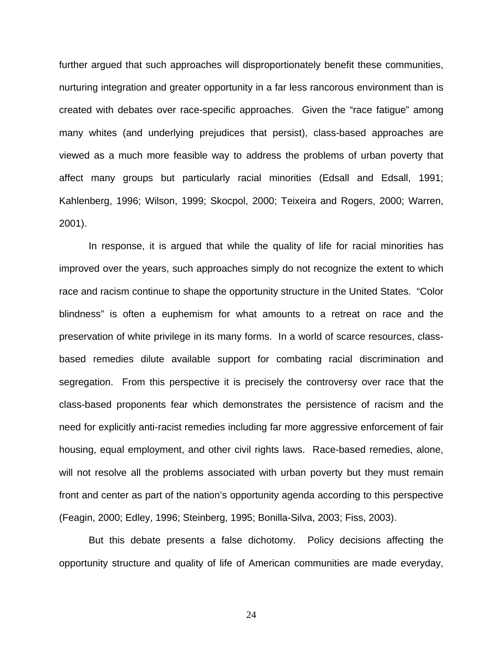further argued that such approaches will disproportionately benefit these communities, nurturing integration and greater opportunity in a far less rancorous environment than is created with debates over race-specific approaches. Given the "race fatigue" among many whites (and underlying prejudices that persist), class-based approaches are viewed as a much more feasible way to address the problems of urban poverty that affect many groups but particularly racial minorities (Edsall and Edsall, 1991; Kahlenberg, 1996; Wilson, 1999; Skocpol, 2000; Teixeira and Rogers, 2000; Warren, 2001).

 In response, it is argued that while the quality of life for racial minorities has improved over the years, such approaches simply do not recognize the extent to which race and racism continue to shape the opportunity structure in the United States. "Color blindness" is often a euphemism for what amounts to a retreat on race and the preservation of white privilege in its many forms. In a world of scarce resources, classbased remedies dilute available support for combating racial discrimination and segregation. From this perspective it is precisely the controversy over race that the class-based proponents fear which demonstrates the persistence of racism and the need for explicitly anti-racist remedies including far more aggressive enforcement of fair housing, equal employment, and other civil rights laws. Race-based remedies, alone, will not resolve all the problems associated with urban poverty but they must remain front and center as part of the nation's opportunity agenda according to this perspective (Feagin, 2000; Edley, 1996; Steinberg, 1995; Bonilla-Silva, 2003; Fiss, 2003).

 But this debate presents a false dichotomy. Policy decisions affecting the opportunity structure and quality of life of American communities are made everyday,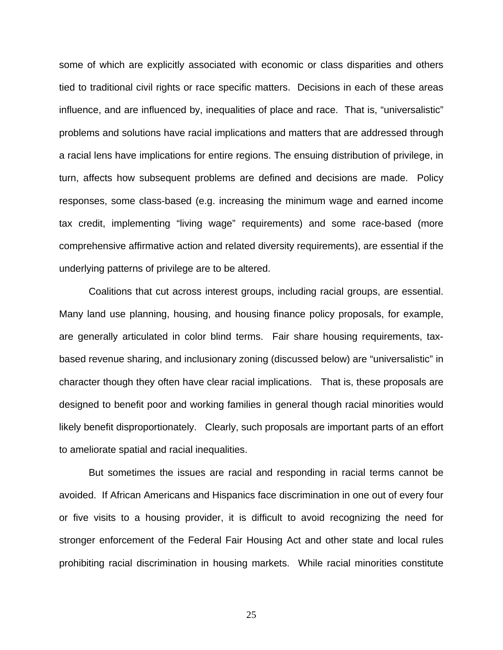some of which are explicitly associated with economic or class disparities and others tied to traditional civil rights or race specific matters. Decisions in each of these areas influence, and are influenced by, inequalities of place and race. That is, "universalistic" problems and solutions have racial implications and matters that are addressed through a racial lens have implications for entire regions. The ensuing distribution of privilege, in turn, affects how subsequent problems are defined and decisions are made. Policy responses, some class-based (e.g. increasing the minimum wage and earned income tax credit, implementing "living wage" requirements) and some race-based (more comprehensive affirmative action and related diversity requirements), are essential if the underlying patterns of privilege are to be altered.

 Coalitions that cut across interest groups, including racial groups, are essential. Many land use planning, housing, and housing finance policy proposals, for example, are generally articulated in color blind terms. Fair share housing requirements, taxbased revenue sharing, and inclusionary zoning (discussed below) are "universalistic" in character though they often have clear racial implications. That is, these proposals are designed to benefit poor and working families in general though racial minorities would likely benefit disproportionately. Clearly, such proposals are important parts of an effort to ameliorate spatial and racial inequalities.

 But sometimes the issues are racial and responding in racial terms cannot be avoided. If African Americans and Hispanics face discrimination in one out of every four or five visits to a housing provider, it is difficult to avoid recognizing the need for stronger enforcement of the Federal Fair Housing Act and other state and local rules prohibiting racial discrimination in housing markets. While racial minorities constitute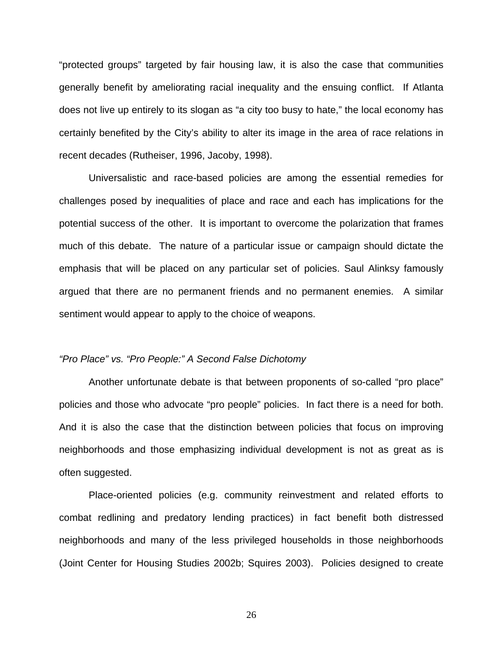"protected groups" targeted by fair housing law, it is also the case that communities generally benefit by ameliorating racial inequality and the ensuing conflict. If Atlanta does not live up entirely to its slogan as "a city too busy to hate," the local economy has certainly benefited by the City's ability to alter its image in the area of race relations in recent decades (Rutheiser, 1996, Jacoby, 1998).

 Universalistic and race-based policies are among the essential remedies for challenges posed by inequalities of place and race and each has implications for the potential success of the other. It is important to overcome the polarization that frames much of this debate. The nature of a particular issue or campaign should dictate the emphasis that will be placed on any particular set of policies. Saul Alinksy famously argued that there are no permanent friends and no permanent enemies. A similar sentiment would appear to apply to the choice of weapons.

## *"Pro Place" vs. "Pro People:" A Second False Dichotomy*

 Another unfortunate debate is that between proponents of so-called "pro place" policies and those who advocate "pro people" policies. In fact there is a need for both. And it is also the case that the distinction between policies that focus on improving neighborhoods and those emphasizing individual development is not as great as is often suggested.

 Place-oriented policies (e.g. community reinvestment and related efforts to combat redlining and predatory lending practices) in fact benefit both distressed neighborhoods and many of the less privileged households in those neighborhoods (Joint Center for Housing Studies 2002b; Squires 2003). Policies designed to create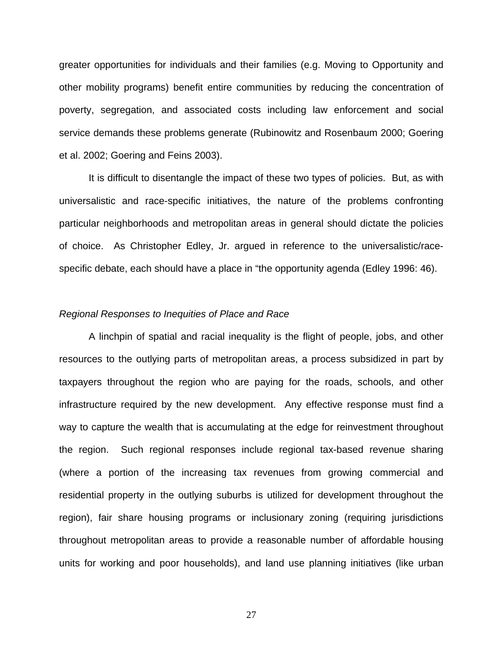greater opportunities for individuals and their families (e.g. Moving to Opportunity and other mobility programs) benefit entire communities by reducing the concentration of poverty, segregation, and associated costs including law enforcement and social service demands these problems generate (Rubinowitz and Rosenbaum 2000; Goering et al. 2002; Goering and Feins 2003).

 It is difficult to disentangle the impact of these two types of policies. But, as with universalistic and race-specific initiatives, the nature of the problems confronting particular neighborhoods and metropolitan areas in general should dictate the policies of choice. As Christopher Edley, Jr. argued in reference to the universalistic/racespecific debate, each should have a place in "the opportunity agenda (Edley 1996: 46).

#### *Regional Responses to Inequities of Place and Race*

 A linchpin of spatial and racial inequality is the flight of people, jobs, and other resources to the outlying parts of metropolitan areas, a process subsidized in part by taxpayers throughout the region who are paying for the roads, schools, and other infrastructure required by the new development. Any effective response must find a way to capture the wealth that is accumulating at the edge for reinvestment throughout the region. Such regional responses include regional tax-based revenue sharing (where a portion of the increasing tax revenues from growing commercial and residential property in the outlying suburbs is utilized for development throughout the region), fair share housing programs or inclusionary zoning (requiring jurisdictions throughout metropolitan areas to provide a reasonable number of affordable housing units for working and poor households), and land use planning initiatives (like urban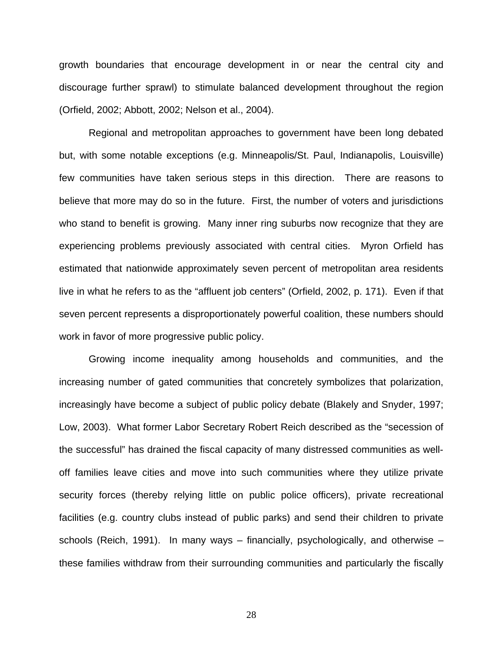growth boundaries that encourage development in or near the central city and discourage further sprawl) to stimulate balanced development throughout the region (Orfield, 2002; Abbott, 2002; Nelson et al., 2004).

 Regional and metropolitan approaches to government have been long debated but, with some notable exceptions (e.g. Minneapolis/St. Paul, Indianapolis, Louisville) few communities have taken serious steps in this direction. There are reasons to believe that more may do so in the future. First, the number of voters and jurisdictions who stand to benefit is growing. Many inner ring suburbs now recognize that they are experiencing problems previously associated with central cities. Myron Orfield has estimated that nationwide approximately seven percent of metropolitan area residents live in what he refers to as the "affluent job centers" (Orfield, 2002, p. 171). Even if that seven percent represents a disproportionately powerful coalition, these numbers should work in favor of more progressive public policy.

Growing income inequality among households and communities, and the increasing number of gated communities that concretely symbolizes that polarization, increasingly have become a subject of public policy debate (Blakely and Snyder, 1997; Low, 2003). What former Labor Secretary Robert Reich described as the "secession of the successful" has drained the fiscal capacity of many distressed communities as welloff families leave cities and move into such communities where they utilize private security forces (thereby relying little on public police officers), private recreational facilities (e.g. country clubs instead of public parks) and send their children to private schools (Reich, 1991). In many ways – financially, psychologically, and otherwise – these families withdraw from their surrounding communities and particularly the fiscally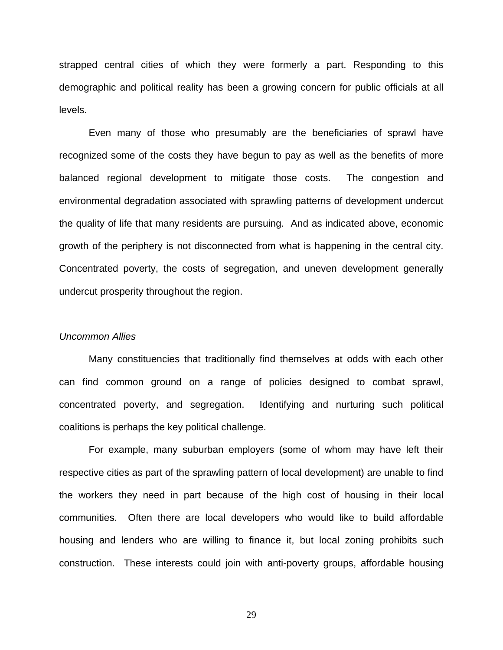strapped central cities of which they were formerly a part. Responding to this demographic and political reality has been a growing concern for public officials at all levels.

Even many of those who presumably are the beneficiaries of sprawl have recognized some of the costs they have begun to pay as well as the benefits of more balanced regional development to mitigate those costs. The congestion and environmental degradation associated with sprawling patterns of development undercut the quality of life that many residents are pursuing. And as indicated above, economic growth of the periphery is not disconnected from what is happening in the central city. Concentrated poverty, the costs of segregation, and uneven development generally undercut prosperity throughout the region.

#### *Uncommon Allies*

Many constituencies that traditionally find themselves at odds with each other can find common ground on a range of policies designed to combat sprawl, concentrated poverty, and segregation. Identifying and nurturing such political coalitions is perhaps the key political challenge.

 For example, many suburban employers (some of whom may have left their respective cities as part of the sprawling pattern of local development) are unable to find the workers they need in part because of the high cost of housing in their local communities. Often there are local developers who would like to build affordable housing and lenders who are willing to finance it, but local zoning prohibits such construction. These interests could join with anti-poverty groups, affordable housing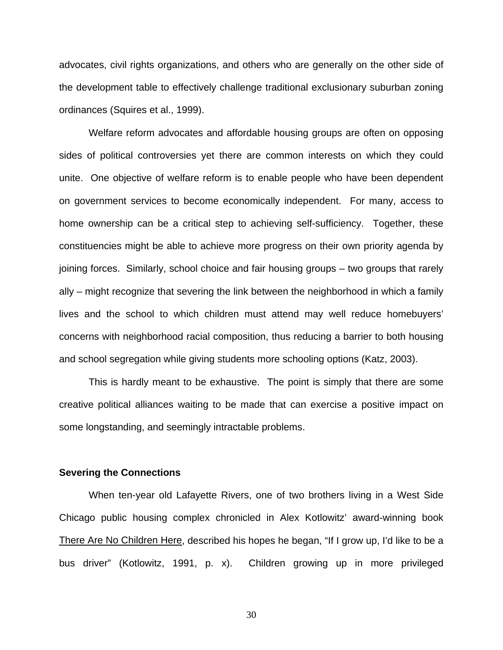advocates, civil rights organizations, and others who are generally on the other side of the development table to effectively challenge traditional exclusionary suburban zoning ordinances (Squires et al., 1999).

 Welfare reform advocates and affordable housing groups are often on opposing sides of political controversies yet there are common interests on which they could unite. One objective of welfare reform is to enable people who have been dependent on government services to become economically independent. For many, access to home ownership can be a critical step to achieving self-sufficiency. Together, these constituencies might be able to achieve more progress on their own priority agenda by joining forces. Similarly, school choice and fair housing groups – two groups that rarely ally – might recognize that severing the link between the neighborhood in which a family lives and the school to which children must attend may well reduce homebuyers' concerns with neighborhood racial composition, thus reducing a barrier to both housing and school segregation while giving students more schooling options (Katz, 2003).

 This is hardly meant to be exhaustive. The point is simply that there are some creative political alliances waiting to be made that can exercise a positive impact on some longstanding, and seemingly intractable problems.

### **Severing the Connections**

 When ten-year old Lafayette Rivers, one of two brothers living in a West Side Chicago public housing complex chronicled in Alex Kotlowitz' award-winning book There Are No Children Here, described his hopes he began, "If I grow up, I'd like to be a bus driver" (Kotlowitz, 1991, p. x). Children growing up in more privileged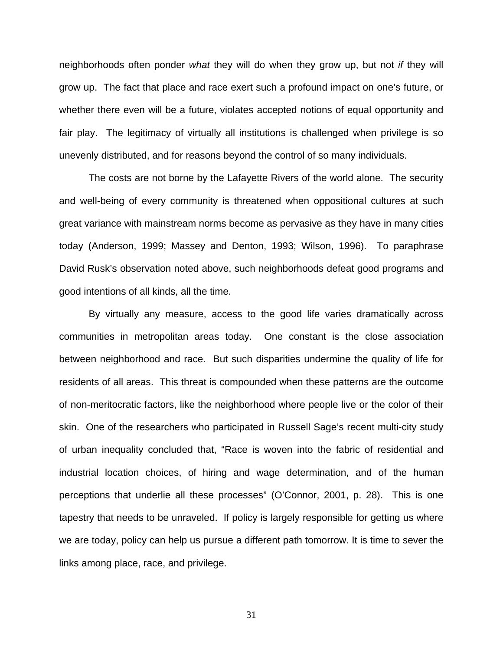neighborhoods often ponder *what* they will do when they grow up, but not *if* they will grow up. The fact that place and race exert such a profound impact on one's future, or whether there even will be a future, violates accepted notions of equal opportunity and fair play. The legitimacy of virtually all institutions is challenged when privilege is so unevenly distributed, and for reasons beyond the control of so many individuals.

 The costs are not borne by the Lafayette Rivers of the world alone. The security and well-being of every community is threatened when oppositional cultures at such great variance with mainstream norms become as pervasive as they have in many cities today (Anderson, 1999; Massey and Denton, 1993; Wilson, 1996). To paraphrase David Rusk's observation noted above, such neighborhoods defeat good programs and good intentions of all kinds, all the time.

By virtually any measure, access to the good life varies dramatically across communities in metropolitan areas today. One constant is the close association between neighborhood and race. But such disparities undermine the quality of life for residents of all areas. This threat is compounded when these patterns are the outcome of non-meritocratic factors, like the neighborhood where people live or the color of their skin. One of the researchers who participated in Russell Sage's recent multi-city study of urban inequality concluded that, "Race is woven into the fabric of residential and industrial location choices, of hiring and wage determination, and of the human perceptions that underlie all these processes" (O'Connor, 2001, p. 28). This is one tapestry that needs to be unraveled. If policy is largely responsible for getting us where we are today, policy can help us pursue a different path tomorrow. It is time to sever the links among place, race, and privilege.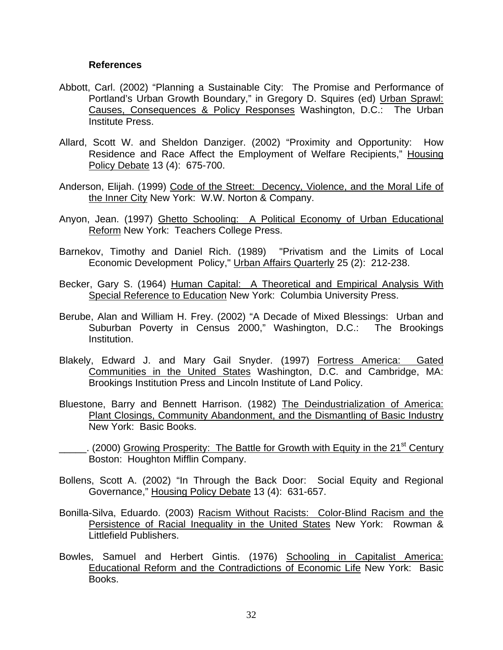## **References**

- Abbott, Carl. (2002) "Planning a Sustainable City: The Promise and Performance of Portland's Urban Growth Boundary," in Gregory D. Squires (ed) Urban Sprawl: Causes, Consequences & Policy Responses Washington, D.C.: The Urban Institute Press.
- Allard, Scott W. and Sheldon Danziger. (2002) "Proximity and Opportunity: How Residence and Race Affect the Employment of Welfare Recipients," Housing Policy Debate 13 (4): 675-700.
- Anderson, Elijah. (1999) Code of the Street: Decency, Violence, and the Moral Life of the Inner City New York: W.W. Norton & Company.
- Anyon, Jean. (1997) Ghetto Schooling: A Political Economy of Urban Educational Reform New York: Teachers College Press.
- Barnekov, Timothy and Daniel Rich. (1989) "Privatism and the Limits of Local Economic Development Policy," Urban Affairs Quarterly 25 (2): 212-238.
- Becker, Gary S. (1964) Human Capital: A Theoretical and Empirical Analysis With Special Reference to Education New York: Columbia University Press.
- Berube, Alan and William H. Frey. (2002) "A Decade of Mixed Blessings: Urban and Suburban Poverty in Census 2000," Washington, D.C.: The Brookings Institution.
- Blakely, Edward J. and Mary Gail Snyder. (1997) Fortress America: Gated Communities in the United States Washington, D.C. and Cambridge, MA: Brookings Institution Press and Lincoln Institute of Land Policy.
- Bluestone, Barry and Bennett Harrison. (1982) The Deindustrialization of America: Plant Closings, Community Abandonment, and the Dismantling of Basic Industry New York: Basic Books.
- $\cdot$  (2000) Growing Prosperity: The Battle for Growth with Equity in the 21<sup>st</sup> Century Boston: Houghton Mifflin Company.
- Bollens, Scott A. (2002) "In Through the Back Door: Social Equity and Regional Governance," Housing Policy Debate 13 (4): 631-657.
- Bonilla-Silva, Eduardo. (2003) Racism Without Racists: Color-Blind Racism and the Persistence of Racial Inequality in the United States New York: Rowman & Littlefield Publishers.
- Bowles, Samuel and Herbert Gintis. (1976) Schooling in Capitalist America: Educational Reform and the Contradictions of Economic Life New York: Basic Books.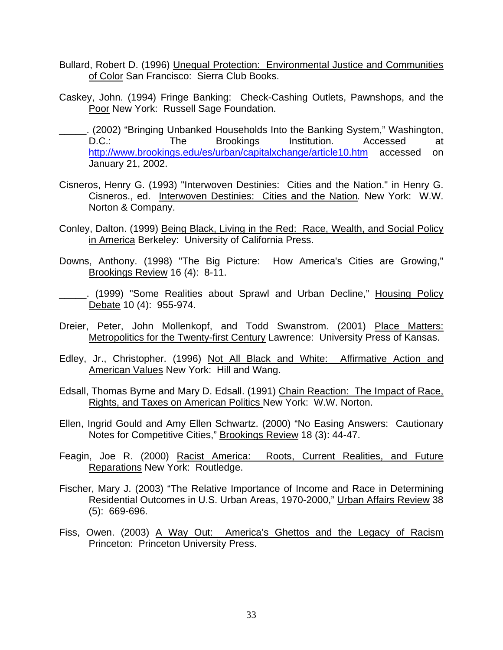- Bullard, Robert D. (1996) Unequal Protection: Environmental Justice and Communities of Color San Francisco: Sierra Club Books.
- Caskey, John. (1994) Fringe Banking: Check-Cashing Outlets, Pawnshops, and the Poor New York: Russell Sage Foundation.
- \_\_\_\_\_. (2002) "Bringing Unbanked Households Into the Banking System," Washington, D.C.: The Brookings Institution. Accessed at http://www.brookings.edu/es/urban/capitalxchange/article10.htm accessed on January 21, 2002.
- Cisneros, Henry G. (1993) "Interwoven Destinies: Cities and the Nation." in Henry G. Cisneros., ed. Interwoven Destinies: Cities and the Nation*.* New York: W.W. Norton & Company.
- Conley, Dalton. (1999) Being Black, Living in the Red: Race, Wealth, and Social Policy in America Berkeley: University of California Press.
- Downs, Anthony. (1998) "The Big Picture: How America's Cities are Growing," Brookings Review 16 (4): 8-11.
- \_\_\_\_\_. (1999) "Some Realities about Sprawl and Urban Decline," Housing Policy Debate 10 (4): 955-974.
- Dreier, Peter, John Mollenkopf, and Todd Swanstrom. (2001) Place Matters: Metropolitics for the Twenty-first Century Lawrence: University Press of Kansas.
- Edley, Jr., Christopher. (1996) Not All Black and White: Affirmative Action and American Values New York: Hill and Wang.
- Edsall, Thomas Byrne and Mary D. Edsall. (1991) Chain Reaction: The Impact of Race, Rights, and Taxes on American Politics New York: W.W. Norton.
- Ellen, Ingrid Gould and Amy Ellen Schwartz. (2000) "No Easing Answers: Cautionary Notes for Competitive Cities," Brookings Review 18 (3): 44-47.
- Feagin, Joe R. (2000) Racist America: Roots, Current Realities, and Future Reparations New York: Routledge.
- Fischer, Mary J. (2003) "The Relative Importance of Income and Race in Determining Residential Outcomes in U.S. Urban Areas, 1970-2000," Urban Affairs Review 38 (5): 669-696.
- Fiss, Owen. (2003) A Way Out: America's Ghettos and the Legacy of Racism Princeton: Princeton University Press.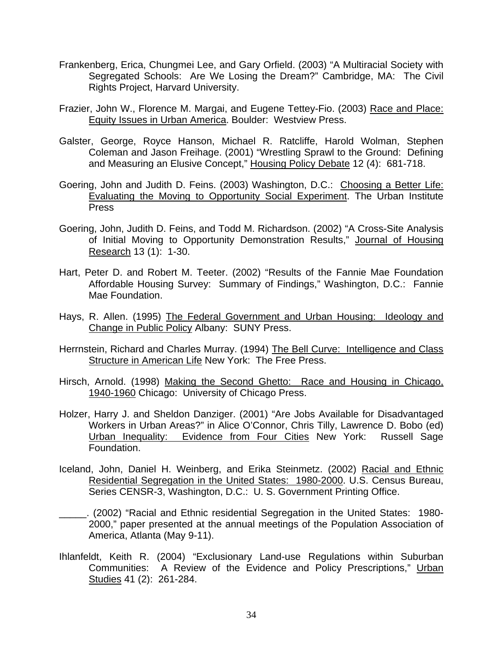- Frankenberg, Erica, Chungmei Lee, and Gary Orfield. (2003) "A Multiracial Society with Segregated Schools: Are We Losing the Dream?" Cambridge, MA: The Civil Rights Project, Harvard University.
- Frazier, John W., Florence M. Margai, and Eugene Tettey-Fio. (2003) Race and Place: Equity Issues in Urban America. Boulder: Westview Press.
- Galster, George, Royce Hanson, Michael R. Ratcliffe, Harold Wolman, Stephen Coleman and Jason Freihage. (2001) "Wrestling Sprawl to the Ground: Defining and Measuring an Elusive Concept," Housing Policy Debate 12 (4): 681-718.
- Goering, John and Judith D. Feins. (2003) Washington, D.C.: Choosing a Better Life: Evaluating the Moving to Opportunity Social Experiment. The Urban Institute Press
- Goering, John, Judith D. Feins, and Todd M. Richardson. (2002) "A Cross-Site Analysis of Initial Moving to Opportunity Demonstration Results," Journal of Housing Research 13 (1): 1-30.
- Hart, Peter D. and Robert M. Teeter. (2002) "Results of the Fannie Mae Foundation Affordable Housing Survey: Summary of Findings," Washington, D.C.: Fannie Mae Foundation.
- Hays, R. Allen. (1995) The Federal Government and Urban Housing: Ideology and Change in Public Policy Albany: SUNY Press.
- Herrnstein, Richard and Charles Murray. (1994) The Bell Curve: Intelligence and Class Structure in American Life New York: The Free Press.
- Hirsch, Arnold. (1998) Making the Second Ghetto: Race and Housing in Chicago, 1940-1960 Chicago: University of Chicago Press.
- Holzer, Harry J. and Sheldon Danziger. (2001) "Are Jobs Available for Disadvantaged Workers in Urban Areas?" in Alice O'Connor, Chris Tilly, Lawrence D. Bobo (ed) Urban Inequality: Evidence from Four Cities New York: Russell Sage Foundation.
- Iceland, John, Daniel H. Weinberg, and Erika Steinmetz. (2002) Racial and Ethnic Residential Segregation in the United States: 1980-2000. U.S. Census Bureau, Series CENSR-3, Washington, D.C.: U. S. Government Printing Office.
- \_\_\_\_\_. (2002) "Racial and Ethnic residential Segregation in the United States: 1980- 2000," paper presented at the annual meetings of the Population Association of America, Atlanta (May 9-11).
- Ihlanfeldt, Keith R. (2004) "Exclusionary Land-use Regulations within Suburban Communities: A Review of the Evidence and Policy Prescriptions," Urban Studies 41 (2): 261-284.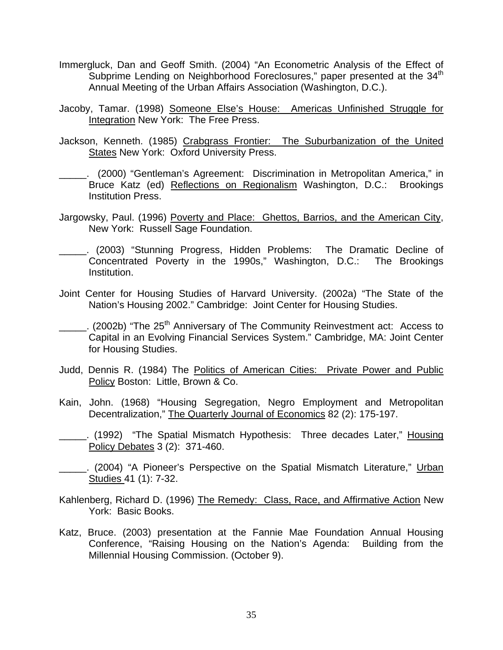- Immergluck, Dan and Geoff Smith. (2004) "An Econometric Analysis of the Effect of Subprime Lending on Neighborhood Foreclosures," paper presented at the 34<sup>th</sup> Annual Meeting of the Urban Affairs Association (Washington, D.C.).
- Jacoby, Tamar. (1998) Someone Else's House: Americas Unfinished Struggle for Integration New York: The Free Press.
- Jackson, Kenneth. (1985) Crabgrass Frontier: The Suburbanization of the United **States New York: Oxford University Press.**
- \_\_\_\_\_. (2000) "Gentleman's Agreement: Discrimination in Metropolitan America," in Bruce Katz (ed) Reflections on Regionalism Washington, D.C.: Brookings Institution Press.
- Jargowsky, Paul. (1996) Poverty and Place: Ghettos, Barrios, and the American City, New York: Russell Sage Foundation.
- \_\_\_\_\_. (2003) "Stunning Progress, Hidden Problems: The Dramatic Decline of Concentrated Poverty in the 1990s," Washington, D.C.: The Brookings Institution.
- Joint Center for Housing Studies of Harvard University. (2002a) "The State of the Nation's Housing 2002." Cambridge: Joint Center for Housing Studies.
- $\ldots$ . (2002b) "The 25<sup>th</sup> Anniversary of The Community Reinvestment act: Access to Capital in an Evolving Financial Services System." Cambridge, MA: Joint Center for Housing Studies.
- Judd, Dennis R. (1984) The Politics of American Cities: Private Power and Public Policy Boston: Little, Brown & Co.
- Kain, John. (1968) "Housing Segregation, Negro Employment and Metropolitan Decentralization," The Quarterly Journal of Economics 82 (2): 175-197.
- \_\_\_\_\_. (1992) "The Spatial Mismatch Hypothesis: Three decades Later," Housing Policy Debates 3 (2): 371-460.
- \_\_\_\_\_. (2004) "A Pioneer's Perspective on the Spatial Mismatch Literature," Urban Studies 41 (1): 7-32.
- Kahlenberg, Richard D. (1996) The Remedy: Class, Race, and Affirmative Action New York: Basic Books.
- Katz, Bruce. (2003) presentation at the Fannie Mae Foundation Annual Housing Conference, "Raising Housing on the Nation's Agenda: Building from the Millennial Housing Commission. (October 9).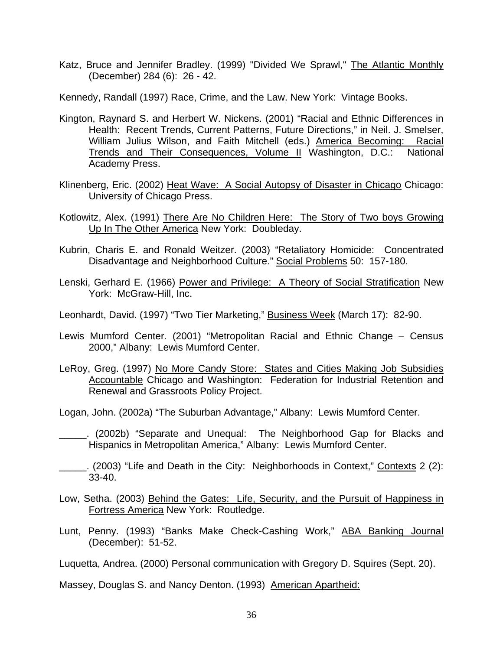Katz, Bruce and Jennifer Bradley. (1999) "Divided We Sprawl," The Atlantic Monthly (December) 284 (6): 26 - 42.

Kennedy, Randall (1997) Race, Crime, and the Law. New York: Vintage Books.

- Kington, Raynard S. and Herbert W. Nickens. (2001) "Racial and Ethnic Differences in Health: Recent Trends, Current Patterns, Future Directions," in Neil. J. Smelser, William Julius Wilson, and Faith Mitchell (eds.) America Becoming: Racial Trends and Their Consequences, Volume II Washington, D.C.: National Academy Press.
- Klinenberg, Eric. (2002) Heat Wave: A Social Autopsy of Disaster in Chicago Chicago: University of Chicago Press.
- Kotlowitz, Alex. (1991) There Are No Children Here: The Story of Two boys Growing Up In The Other America New York: Doubleday.
- Kubrin, Charis E. and Ronald Weitzer. (2003) "Retaliatory Homicide: Concentrated Disadvantage and Neighborhood Culture." Social Problems 50: 157-180.
- Lenski, Gerhard E. (1966) Power and Privilege: A Theory of Social Stratification New York: McGraw-Hill, Inc.
- Leonhardt, David. (1997) "Two Tier Marketing," Business Week (March 17): 82-90.
- Lewis Mumford Center. (2001) "Metropolitan Racial and Ethnic Change Census 2000," Albany: Lewis Mumford Center.
- LeRoy, Greg. (1997) No More Candy Store: States and Cities Making Job Subsidies Accountable Chicago and Washington: Federation for Industrial Retention and Renewal and Grassroots Policy Project.
- Logan, John. (2002a) "The Suburban Advantage," Albany: Lewis Mumford Center.
- \_\_\_\_\_. (2002b) "Separate and Unequal: The Neighborhood Gap for Blacks and Hispanics in Metropolitan America," Albany: Lewis Mumford Center.
- (2003) "Life and Death in the City: Neighborhoods in Context," Contexts 2 (2): 33-40.
- Low, Setha. (2003) Behind the Gates: Life, Security, and the Pursuit of Happiness in Fortress America New York: Routledge.
- Lunt, Penny. (1993) "Banks Make Check-Cashing Work," ABA Banking Journal (December): 51-52.

Luquetta, Andrea. (2000) Personal communication with Gregory D. Squires (Sept. 20).

Massey, Douglas S. and Nancy Denton. (1993) American Apartheid: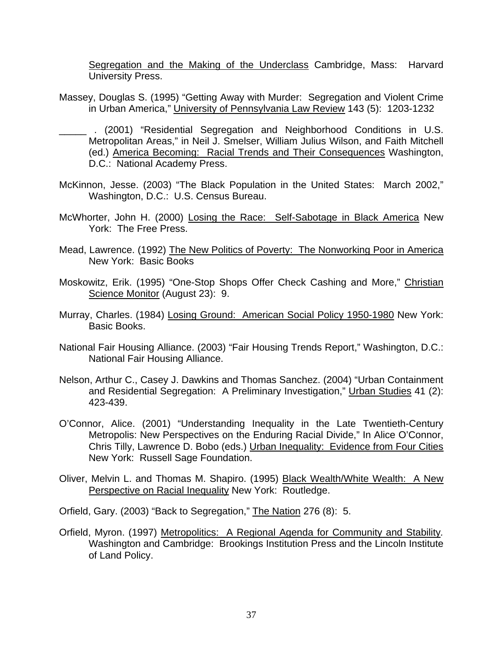Segregation and the Making of the Underclass Cambridge, Mass: Harvard University Press.

- Massey, Douglas S. (1995) "Getting Away with Murder: Segregation and Violent Crime in Urban America," University of Pennsylvania Law Review 143 (5): 1203-1232
- \_\_\_\_\_ . (2001) "Residential Segregation and Neighborhood Conditions in U.S. Metropolitan Areas," in Neil J. Smelser, William Julius Wilson, and Faith Mitchell (ed.) America Becoming: Racial Trends and Their Consequences Washington, D.C.: National Academy Press.
- McKinnon, Jesse. (2003) "The Black Population in the United States: March 2002," Washington, D.C.: U.S. Census Bureau.
- McWhorter, John H. (2000) Losing the Race: Self-Sabotage in Black America New York: The Free Press.
- Mead, Lawrence. (1992) The New Politics of Poverty: The Nonworking Poor in America New York: Basic Books
- Moskowitz, Erik. (1995) "One-Stop Shops Offer Check Cashing and More," Christian Science Monitor (August 23): 9.
- Murray, Charles. (1984) Losing Ground: American Social Policy 1950-1980 New York: Basic Books.
- National Fair Housing Alliance. (2003) "Fair Housing Trends Report," Washington, D.C.: National Fair Housing Alliance.
- Nelson, Arthur C., Casey J. Dawkins and Thomas Sanchez. (2004) "Urban Containment and Residential Segregation: A Preliminary Investigation," Urban Studies 41 (2): 423-439.
- O'Connor, Alice. (2001) "Understanding Inequality in the Late Twentieth-Century Metropolis: New Perspectives on the Enduring Racial Divide," In Alice O'Connor, Chris Tilly, Lawrence D. Bobo (eds.) Urban Inequality: Evidence from Four Cities New York: Russell Sage Foundation.
- Oliver, Melvin L. and Thomas M. Shapiro. (1995) Black Wealth/White Wealth: A New Perspective on Racial Inequality New York: Routledge.

Orfield, Gary. (2003) "Back to Segregation," The Nation 276 (8): 5.

Orfield, Myron. (1997) Metropolitics: A Regional Agenda for Community and Stability*.* Washington and Cambridge: Brookings Institution Press and the Lincoln Institute of Land Policy.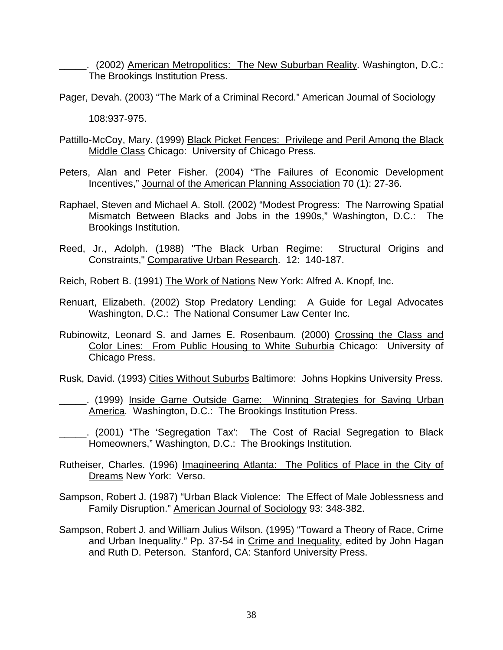\_\_\_\_\_. (2002) American Metropolitics: The New Suburban Reality. Washington, D.C.: The Brookings Institution Press.

Pager, Devah. (2003) "The Mark of a Criminal Record." American Journal of Sociology

108:937-975.

- Pattillo-McCoy, Mary. (1999) Black Picket Fences: Privilege and Peril Among the Black Middle Class Chicago: University of Chicago Press.
- Peters, Alan and Peter Fisher. (2004) "The Failures of Economic Development Incentives," Journal of the American Planning Association 70 (1): 27-36.
- Raphael, Steven and Michael A. Stoll. (2002) "Modest Progress: The Narrowing Spatial Mismatch Between Blacks and Jobs in the 1990s," Washington, D.C.: The Brookings Institution.
- Reed, Jr., Adolph. (1988) "The Black Urban Regime: Structural Origins and Constraints," Comparative Urban Research. 12: 140-187.

Reich, Robert B. (1991) The Work of Nations New York: Alfred A. Knopf, Inc.

- Renuart, Elizabeth. (2002) Stop Predatory Lending: A Guide for Legal Advocates Washington, D.C.: The National Consumer Law Center Inc.
- Rubinowitz, Leonard S. and James E. Rosenbaum. (2000) Crossing the Class and Color Lines: From Public Housing to White Suburbia Chicago: University of Chicago Press.

Rusk, David. (1993) Cities Without Suburbs Baltimore: Johns Hopkins University Press.

- \_\_\_\_\_. (1999) Inside Game Outside Game: Winning Strategies for Saving Urban America*.* Washington, D.C.: The Brookings Institution Press.
- \_\_\_\_\_. (2001) "The 'Segregation Tax': The Cost of Racial Segregation to Black Homeowners," Washington, D.C.: The Brookings Institution.
- Rutheiser, Charles. (1996) Imagineering Atlanta: The Politics of Place in the City of Dreams New York: Verso.
- Sampson, Robert J. (1987) "Urban Black Violence: The Effect of Male Joblessness and Family Disruption." American Journal of Sociology 93: 348-382.
- Sampson, Robert J. and William Julius Wilson. (1995) "Toward a Theory of Race, Crime and Urban Inequality." Pp. 37-54 in Crime and Inequality, edited by John Hagan and Ruth D. Peterson. Stanford, CA: Stanford University Press.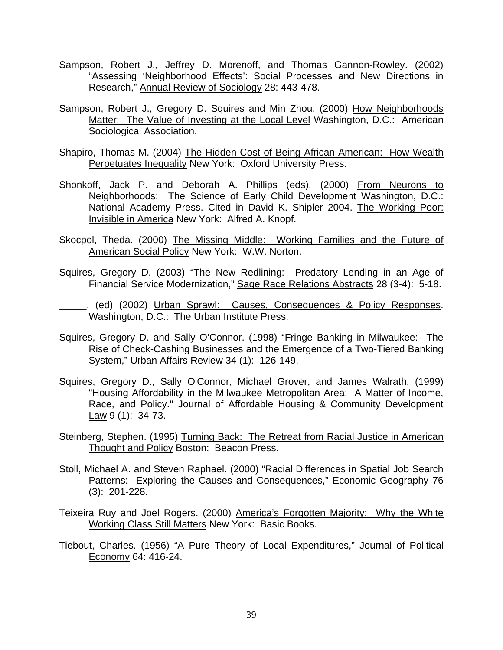- Sampson, Robert J., Jeffrey D. Morenoff, and Thomas Gannon-Rowley. (2002) "Assessing 'Neighborhood Effects': Social Processes and New Directions in Research," Annual Review of Sociology 28: 443-478.
- Sampson, Robert J., Gregory D. Squires and Min Zhou. (2000) How Neighborhoods Matter: The Value of Investing at the Local Level Washington, D.C.: American Sociological Association.
- Shapiro, Thomas M. (2004) The Hidden Cost of Being African American: How Wealth Perpetuates Inequality New York: Oxford University Press.
- Shonkoff, Jack P. and Deborah A. Phillips (eds). (2000) From Neurons to Neighborhoods: The Science of Early Child Development Washington, D.C.: National Academy Press. Cited in David K. Shipler 2004. The Working Poor: Invisible in America New York: Alfred A. Knopf.
- Skocpol, Theda. (2000) The Missing Middle: Working Families and the Future of American Social Policy New York: W.W. Norton.
- Squires, Gregory D. (2003) "The New Redlining: Predatory Lending in an Age of Financial Service Modernization," Sage Race Relations Abstracts 28 (3-4): 5-18.
- \_\_\_\_\_. (ed) (2002) Urban Sprawl: Causes, Consequences & Policy Responses. Washington, D.C.: The Urban Institute Press.
- Squires, Gregory D. and Sally O'Connor. (1998) "Fringe Banking in Milwaukee: The Rise of Check-Cashing Businesses and the Emergence of a Two-Tiered Banking System," Urban Affairs Review 34 (1): 126-149.
- Squires, Gregory D., Sally O'Connor, Michael Grover, and James Walrath. (1999) "Housing Affordability in the Milwaukee Metropolitan Area: A Matter of Income, Race, and Policy." Journal of Affordable Housing & Community Development Law 9 (1): 34-73.
- Steinberg, Stephen. (1995) Turning Back: The Retreat from Racial Justice in American Thought and Policy Boston: Beacon Press.
- Stoll, Michael A. and Steven Raphael. (2000) "Racial Differences in Spatial Job Search Patterns: Exploring the Causes and Consequences," Economic Geography 76 (3): 201-228.
- Teixeira Ruy and Joel Rogers. (2000) America's Forgotten Majority: Why the White Working Class Still Matters New York: Basic Books.
- Tiebout, Charles. (1956) "A Pure Theory of Local Expenditures," Journal of Political Economy 64: 416-24.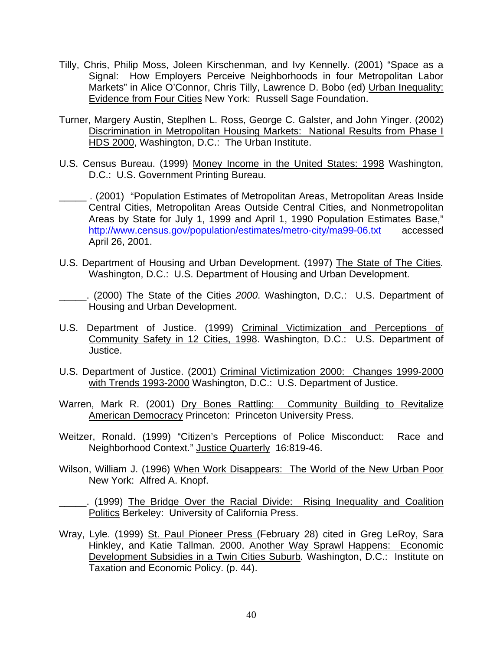- Tilly, Chris, Philip Moss, Joleen Kirschenman, and Ivy Kennelly. (2001) "Space as a Signal: How Employers Perceive Neighborhoods in four Metropolitan Labor Markets" in Alice O'Connor, Chris Tilly, Lawrence D. Bobo (ed) Urban Inequality: Evidence from Four Cities New York: Russell Sage Foundation.
- Turner, Margery Austin, Steplhen L. Ross, George C. Galster, and John Yinger. (2002) Discrimination in Metropolitan Housing Markets: National Results from Phase I HDS 2000, Washington, D.C.: The Urban Institute.
- U.S. Census Bureau. (1999) Money Income in the United States: 1998 Washington, D.C.: U.S. Government Printing Bureau.
- \_\_\_\_\_ . (2001) "Population Estimates of Metropolitan Areas, Metropolitan Areas Inside Central Cities, Metropolitan Areas Outside Central Cities, and Nonmetropolitan Areas by State for July 1, 1999 and April 1, 1990 Population Estimates Base," http://www.census.gov/population/estimates/metro-city/ma99-06.txt accessed April 26, 2001.
- U.S. Department of Housing and Urban Development. (1997) The State of The Cities*.* Washington, D.C.: U.S. Department of Housing and Urban Development.
- \_\_\_\_\_. (2000) The State of the Cities *2000*. Washington, D.C.: U.S. Department of Housing and Urban Development.
- U.S. Department of Justice. (1999) Criminal Victimization and Perceptions of Community Safety in 12 Cities, 1998. Washington, D.C.: U.S. Department of Justice.
- U.S. Department of Justice. (2001) Criminal Victimization 2000: Changes 1999-2000 with Trends 1993-2000 Washington, D.C.: U.S. Department of Justice.
- Warren, Mark R. (2001) Dry Bones Rattling: Community Building to Revitalize American Democracy Princeton: Princeton University Press.
- Weitzer, Ronald. (1999) "Citizen's Perceptions of Police Misconduct: Race and Neighborhood Context." Justice Quarterly 16:819-46.
- Wilson, William J. (1996) When Work Disappears: The World of the New Urban Poor New York: Alfred A. Knopf.
- \_\_\_\_\_. (1999) The Bridge Over the Racial Divide: Rising Inequality and Coalition Politics Berkeley: University of California Press.
- Wray, Lyle. (1999) St. Paul Pioneer Press (February 28) cited in Greg LeRoy, Sara Hinkley, and Katie Tallman. 2000. Another Way Sprawl Happens: Economic Development Subsidies in a Twin Cities Suburb*.* Washington, D.C.: Institute on Taxation and Economic Policy. (p. 44).